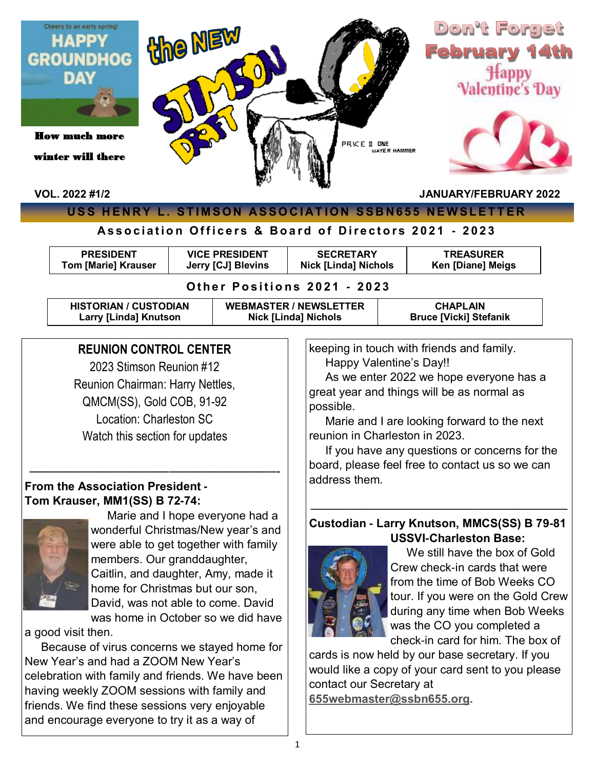

### **USS HENRY L. STIMSON ASSOCIATION SSBN655 NEWSLETTER**

#### Association Officers & Board of Directors 2021 - 2023

**PRESIDENT Tom [Marie] Krauser** **VICE PRESIDENT Jerry [CJ] Blevins**

**SECRETARY Nick [Linda] Nichols**

**TREASURER Ken [Diane] Meigs**

# **O t h e r P o s i t i o n s 2 0 2 1 - 2023**

**HISTORIAN / CUSTODIAN Larry [Linda] Knutson**

**WEBMASTER / NEWSLETTER Nick [Linda] Nichols**

**CHAPLAIN Bruce [Vicki] Stefanik**

### **REUNION CONTROL CENTER**

2023 Stimson Reunion #12 Reunion Chairman: Harry Nettles, QMCM(SS), Gold COB, 91-92 Location: Charleston SC Watch this section for updates

———————————————————————-

### **From the Association President - Tom Krauser, MM1(SS) B 72-74:**



 Marie and I hope everyone had a wonderful Christmas/New year's and were able to get together with family members. Our granddaughter, Caitlin, and daughter, Amy, made it home for Christmas but our son, David, was not able to come. David

was home in October so we did have a good visit then.

 Because of virus concerns we stayed home for New Year's and had a ZOOM New Year's celebration with family and friends. We have been having weekly ZOOM sessions with family and friends. We find these sessions very enjoyable and encourage everyone to try it as a way of

keeping in touch with friends and family. Happy Valentine's Day!!

 As we enter 2022 we hope everyone has a great year and things will be as normal as possible.

 Marie and I are looking forward to the next reunion in Charleston in 2023.

 If you have any questions or concerns for the board, please feel free to contact us so we can address them.

#### **Custodian - Larry Knutson, MMCS(SS) B 79-81 USSVI-Charleston Base:**

——————————————————————



 We still have the box of Gold Crew check-in cards that were from the time of Bob Weeks CO tour. If you were on the Gold Crew during any time when Bob Weeks was the CO you completed a check-in card for him. The box of

cards is now held by our base secretary. If you would like a copy of your card sent to you please contact our Secretary at **[655webmaster@ssbn655.org.](mailto:655webmaster@ssbn655.org)**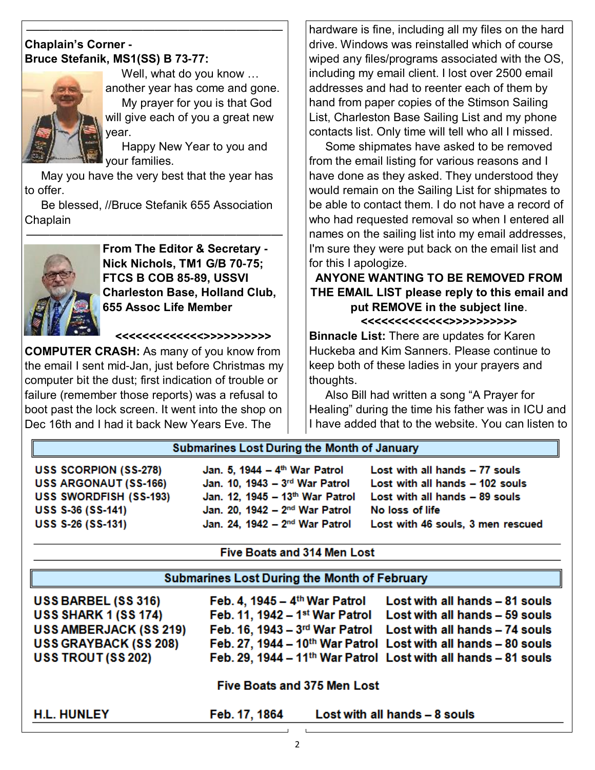### **Chaplain's Corner - Bruce Stefanik, MS1(SS) B 73-77:**



 Well, what do you know … another year has come and gone. My prayer for you is that God will give each of you a great new year.

 Happy New Year to you and your families.

 May you have the very best that the year has to offer.

——————————————————————

 Be blessed, //Bruce Stefanik 655 Association Chaplain

——————————————————————



**From The Editor & Secretary - Nick Nichols, TM1 G/B 70-75; FTCS B COB 85-89, USSVI Charleston Base, Holland Club, 655 Assoc Life Member**

**<<<<<<<<<<<<<>>>>>>>>>>**

**COMPUTER CRASH:** As many of you know from the email I sent mid-Jan, just before Christmas my computer bit the dust; first indication of trouble or failure (remember those reports) was a refusal to boot past the lock screen. It went into the shop on Dec 16th and I had it back New Years Eve. The

hardware is fine, including all my files on the hard drive. Windows was reinstalled which of course wiped any files/programs associated with the OS, including my email client. I lost over 2500 email addresses and had to reenter each of them by hand from paper copies of the Stimson Sailing List, Charleston Base Sailing List and my phone contacts list. Only time will tell who all I missed.

 Some shipmates have asked to be removed from the email listing for various reasons and I have done as they asked. They understood they would remain on the Sailing List for shipmates to be able to contact them. I do not have a record of who had requested removal so when I entered all names on the sailing list into my email addresses, I'm sure they were put back on the email list and for this I apologize.

#### **ANYONE WANTING TO BE REMOVED FROM THE EMAIL LIST please reply to this email and put REMOVE in the subject line**. **<<<<<<<<<<<<<>>>>>>>>>>**

**Binnacle List:** There are updates for Karen Huckeba and Kim Sanners. Please continue to keep both of these ladies in your prayers and thoughts.

 Also Bill had written a song "A Prayer for Healing" during the time his father was in ICU and I have added that to the website. You can listen to

#### **Submarines Lost During the Month of January**

**USS SCORPION (SS-278) USS ARGONAUT (SS-166)** USS SWORDFISH (SS-193) **USS S-36 (SS-141) USS S-26 (SS-131)** 

Jan. 5, 1944 - 4<sup>th</sup> War Patrol Jan. 10, 1943 - 3rd War Patrol Jan. 12, 1945 - 13th War Patrol Jan. 20, 1942 - 2<sup>nd</sup> War Patrol Jan. 24, 1942 - 2<sup>nd</sup> War Patrol

Lost with all hands - 77 souls Lost with all hands - 102 souls Lost with all hands - 89 souls No loss of life Lost with 46 souls, 3 men rescued

#### **Five Boats and 314 Men Lost**

#### **Submarines Lost During the Month of February**

USS BARBEL (SS 316) **USS SHARK 1 (SS 174) USS AMBERJACK (SS 219) USS GRAYBACK (SS 208) USS TROUT (SS 202)** 

Lost with all hands - 81 souls Feb. 4, 1945 - 4th War Patrol Feb. 11, 1942 - 1<sup>st</sup> War Patrol Lost with all hands - 59 souls Feb. 16, 1943 - 3rd War Patrol Lost with all hands - 74 souls Feb. 27, 1944 - 10<sup>th</sup> War Patrol Lost with all hands - 80 souls Feb. 29, 1944 - 11<sup>th</sup> War Patrol Lost with all hands - 81 souls

**Five Boats and 375 Men Lost** 

**H.L. HUNLEY** 

Feb. 17, 1864

Lost with all hands - 8 souls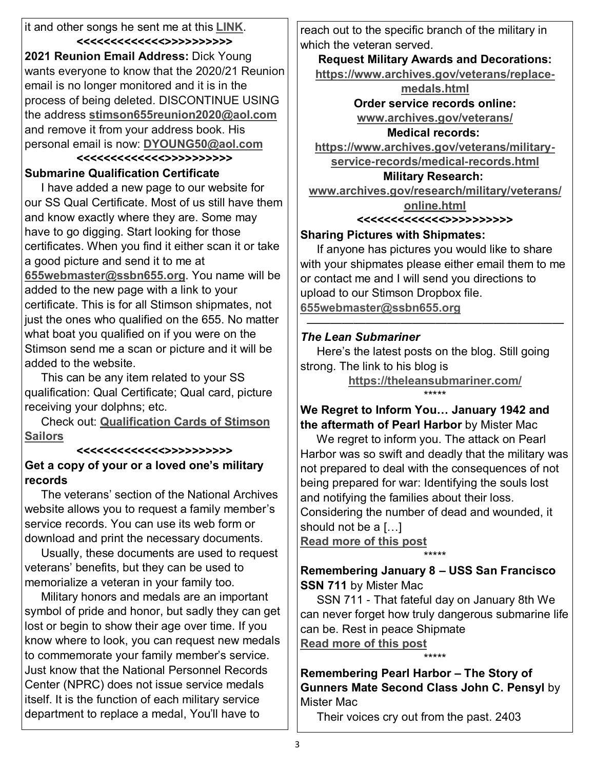it and other songs he sent me at this **[LINK](http://ssbn655.org/SongsbySanner/SongsBySanner.html)**. **<<<<<<<<<<<<<>>>>>>>>>>**

**2021 Reunion Email Address:** Dick Young wants everyone to know that the 2020/21 Reunion email is no longer monitored and it is in the process of being deleted. DISCONTINUE USING the address **[stimson655reunion2020@aol.com](mailto:stimson655reunion2020@aol.com)** and remove it from your address book. His personal email is now: **[DYOUNG50@aol.com](mailto:DYOUNG50@aol.com)**

#### **<<<<<<<<<<<<<>>>>>>>>>> Submarine Qualification Certificate**

 I have added a new page to our website for our SS Qual Certificate. Most of us still have them and know exactly where they are. Some may have to go digging. Start looking for those certificates. When you find it either scan it or take a good picture and send it to me at **[655webmaster@ssbn655.org](mailto:655webmaster@ssbn655.org)**. You name will be added to the new page with a link to your certificate. This is for all Stimson shipmates, not just the ones who qualified on the 655. No matter what boat you qualified on if you were on the Stimson send me a scan or picture and it will be added to the website.

 This can be any item related to your SS qualification: Qual Certificate; Qual card, picture receiving your dolphns; etc.

 Check out: **[Qualification Cards of Stimson](http://ssbn655.org/qual_cards_certificates/ss-qual-cards.html)  [Sailors](http://ssbn655.org/qual_cards_certificates/ss-qual-cards.html)**

#### **<<<<<<<<<<<<<>>>>>>>>>> Get a copy of your or a loved one's military records**

 The veterans' section of the National Archives website allows you to request a family member's service records. You can use its web form or download and print the necessary documents.

 Usually, these documents are used to request veterans' benefits, but they can be used to memorialize a veteran in your family too.

 Military honors and medals are an important symbol of pride and honor, but sadly they can get lost or begin to show their age over time. If you know where to look, you can request new medals to commemorate your family member's service. Just know that the National Personnel Records Center (NPRC) does not issue service medals itself. It is the function of each military service department to replace a medal, You'll have to

reach out to the specific branch of the military in which the veteran served.

**Request Military Awards and Decorations: [https://www.archives.gov/veterans/replace-](https://www.archives.gov/veterans/replace-medals.html)**

> **[medals.html](https://www.archives.gov/veterans/replace-medals.html) Order service records online: [www.archives.gov/veterans/](http://www.archives.gov/veterans/)**

**Medical records:**

**[https://www.archives.gov/veterans/military](https://www.archives.gov/veterans/military-service-records/medical-records.html)[service-records/medical-records.html](https://www.archives.gov/veterans/military-service-records/medical-records.html)**

#### **Military Research:**

**[www.archives.gov/research/military/veterans/](http://www.archives.gov/research/military/veterans/online.html) [online.html](http://www.archives.gov/research/military/veterans/online.html)**

**<<<<<<<<<<<<<>>>>>>>>>>**

#### **Sharing Pictures with Shipmates:**

 If anyone has pictures you would like to share with your shipmates please either email them to me or contact me and I will send you directions to upload to our Stimson Dropbox file. **[655webmaster@ssbn655.org](mailto:655webmaster@ssbn655.org)**

——————————————————————

#### *The Lean Submariner*

 Here's the latest posts on the blog. Still going strong. The link to his blog is

**<https://theleansubmariner.com/>**

\*\*\*\*\* **We Regret to Inform You… January 1942 and the aftermath of Pearl Harbor** by Mister Mac

 We regret to inform you. The attack on Pearl Harbor was so swift and deadly that the military was not prepared to deal with the consequences of not being prepared for war: Identifying the souls lost and notifying the families about their loss. Considering the number of dead and wounded, it should not be a […] **[Read more of this post](http://theleansubmariner.com/2022/01/08/we-regret-to-inform-you-january-1942-and-the-aftermath-of-pearl-harbor/)**

\*\*\*\*\* **Remembering January 8 – USS San Francisco SSN 711** by Mister Mac

 SSN 711 - That fateful day on January 8th We can never forget how truly dangerous submarine life can be. Rest in peace Shipmate **[Read more of this post](http://theleansubmariner.com/2022/01/08/remembering-january-8-uss-san-francisco-ssn-711/)**

\*\*\*\*\* **Remembering Pearl Harbor – The Story of Gunners Mate Second Class John C. Pensyl** by Mister Mac

Their voices cry out from the past. 2403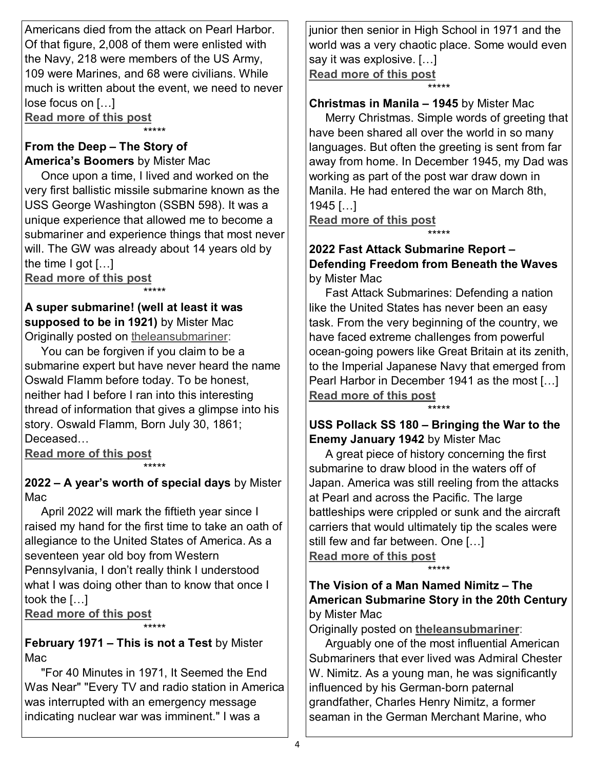Americans died from the attack on Pearl Harbor. Of that figure, 2,008 of them were enlisted with the Navy, 218 were members of the US Army, 109 were Marines, and 68 were civilians. While much is written about the event, we need to never lose focus on […]

**[Read more of this post](http://theleansubmariner.com/2022/01/07/remembering-pearl-harbor-the-story-of-gunners-mate-second-class-john-c-pensyl/)**

\*\*\*\*\*

# **From the Deep – The Story of America's Boomers** by Mister Mac

 Once upon a time, I lived and worked on the very first ballistic missile submarine known as the USS George Washington (SSBN 598). It was a unique experience that allowed me to become a submariner and experience things that most never will. The GW was already about 14 years old by the time I got […]

**[Read more of this post](http://theleansubmariner.com/2021/12/29/from-the-deep-the-story-of-americas-boomers/)**

\*\*\*\*\*

**A super submarine! (well at least it was supposed to be in 1921)** by Mister Mac Originally posted on theleansubmariner:

 You can be forgiven if you claim to be a submarine expert but have never heard the name Oswald Flamm before today. To be honest, neither had I before I ran into this interesting thread of information that gives a glimpse into his story. Oswald Flamm, Born July 30, 1861; Deceased…

**[Read more of this post](http://theleansubmariner.com/2021/12/28/a-super-submarine-well-at-least-it-was-supposed-to-be-in-1921-2/)**

#### \*\*\*\*\* **2022 – A year's worth of special days** by Mister Mac

 April 2022 will mark the fiftieth year since I raised my hand for the first time to take an oath of allegiance to the United States of America. As a seventeen year old boy from Western Pennsylvania, I don't really think I understood what I was doing other than to know that once I took the […]

**[Read more of this post](http://theleansubmariner.com/2021/12/27/2022-a-years-worth-of-special-days/)**

\*\*\*\*\* **February 1971 – This is not a Test** by Mister Mac

 "For 40 Minutes in 1971, It Seemed the End Was Near" "Every TV and radio station in America was interrupted with an emergency message indicating nuclear war was imminent." I was a

junior then senior in High School in 1971 and the world was a very chaotic place. Some would even say it was explosive. […] **[Read more of this post](http://theleansubmariner.com/2021/12/26/february-1971-this-is-not-a-test/)**

\*\*\*\*\* **Christmas in Manila – 1945** by Mister Mac

 Merry Christmas. Simple words of greeting that have been shared all over the world in so many languages. But often the greeting is sent from far away from home. In December 1945, my Dad was working as part of the post war draw down in Manila. He had entered the war on March 8th, 1945 […]

**[Read more of this post](http://theleansubmariner.com/2021/12/24/christmas-in-manila-1945/)**

#### \*\*\*\*\* **2022 Fast Attack Submarine Report – Defending Freedom from Beneath the Waves**  by Mister Mac

 Fast Attack Submarines: Defending a nation like the United States has never been an easy task. From the very beginning of the country, we have faced extreme challenges from powerful ocean-going powers like Great Britain at its zenith, to the Imperial Japanese Navy that emerged from Pearl Harbor in December 1941 as the most […] **[Read more of this post](http://theleansubmariner.com/2021/12/28/2022-fast-attack-submarine-report-defending-freedom-from-beneath-the-waves/)**

#### \*\*\*\*\* **USS Pollack SS 180 – Bringing the War to the Enemy January 1942** by Mister Mac

 A great piece of history concerning the first submarine to draw blood in the waters off of Japan. America was still reeling from the attacks at Pearl and across the Pacific. The large battleships were crippled or sunk and the aircraft carriers that would ultimately tip the scales were still few and far between. One […] **[Read more of this post](http://theleansubmariner.com/2022/01/09/uss-pollack-ss-180-bringing-the-war-to-the-enemy-january-1942/)**

#### \*\*\*\*\* **The Vision of a Man Named Nimitz – The American Submarine Story in the 20th Century**  by Mister Mac

Originally posted on **[theleansubmariner](http://theleansubmariner.com/2019/06/27/the-vision-of-a-man-named-nimitz-the-american-submarine-story-in-the-20th-century/)**:

 Arguably one of the most influential American Submariners that ever lived was Admiral Chester W. Nimitz. As a young man, he was significantly influenced by his German-born paternal grandfather, Charles Henry Nimitz, a former seaman in the German Merchant Marine, who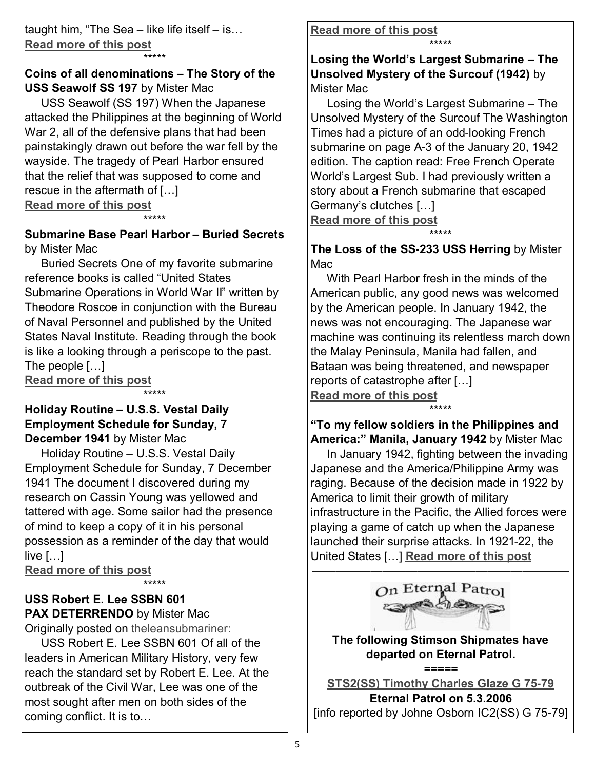taught him, "The Sea – like life itself – is... **[Read more of this post](http://theleansubmariner.com/2022/01/10/the-vision-of-a-man-named-nimitz-the-american-submarine-story-in-the-20th-century-2/)** \*\*\*\*\*

#### **Coins of all denominations – The Story of the USS Seawolf SS 197** by Mister Mac

 USS Seawolf (SS 197) When the Japanese attacked the Philippines at the beginning of World War 2, all of the defensive plans that had been painstakingly drawn out before the war fell by the wayside. The tragedy of Pearl Harbor ensured that the relief that was supposed to come and rescue in the aftermath of […] **[Read more of this post](http://theleansubmariner.com/2022/01/15/coins-of-all-denominations-the-story-of-the-uss-seawolf-ss-197/)**

## **Submarine Base Pearl Harbor – Buried Secrets** by Mister Mac

\*\*\*\*\*

 Buried Secrets One of my favorite submarine reference books is called "United States Submarine Operations in World War II" written by Theodore Roscoe in conjunction with the Bureau of Naval Personnel and published by the United States Naval Institute. Reading through the book is like a looking through a periscope to the past. The people […]

**[Read more of this post](http://theleansubmariner.com/2022/01/17/submarine-base-pearl-harbor-buried-secrets/)**

#### \*\*\*\*\* **Holiday Routine – U.S.S. Vestal Daily Employment Schedule for Sunday, 7 December 1941** by Mister Mac

 Holiday Routine – U.S.S. Vestal Daily Employment Schedule for Sunday, 7 December 1941 The document I discovered during my research on Cassin Young was yellowed and tattered with age. Some sailor had the presence of mind to keep a copy of it in his personal possession as a reminder of the day that would live […]

**[Read more of this post](http://theleansubmariner.com/2022/01/18/holiday-routine-u-s-s-vestal-daily-employment-schedule-for-sunday-7-december-1941/)**

### \*\*\*\*\* **USS Robert E. Lee SSBN 601 PAX DETERRENDO** by Mister Mac

Originally posted on [theleansubmariner:](http://theleansubmariner.com/2019/07/03/uss-robert-e-lee-ssbn-601-pax-deterrendo/) 

 USS Robert E. Lee SSBN 601 Of all of the leaders in American Military History, very few reach the standard set by Robert E. Lee. At the outbreak of the Civil War, Lee was one of the most sought after men on both sides of the coming conflict. It is to…

**[Read more of this post](http://theleansubmariner.com/2022/01/19/uss-robert-e-lee-ssbn-601-pax-deterrendo-2/)** \*\*\*\*\*

**Losing the World's Largest Submarine – The Unsolved Mystery of the Surcouf (1942)** by Mister Mac

 Losing the World's Largest Submarine – The Unsolved Mystery of the Surcouf The Washington Times had a picture of an odd-looking French submarine on page A-3 of the January 20, 1942 edition. The caption read: Free French Operate World's Largest Sub. I had previously written a story about a French submarine that escaped Germany's clutches […] **[Read more of this post](http://theleansubmariner.com/2022/01/20/losing-the-worlds-largest-submarine-the-unsolved-mystery-of-the-surcouf-1942/)**

### **The Loss of the SS-233 USS Herring** by Mister Mac

\*\*\*\*\*

 With Pearl Harbor fresh in the minds of the American public, any good news was welcomed by the American people. In January 1942, the news was not encouraging. The Japanese war machine was continuing its relentless march down the Malay Peninsula, Manila had fallen, and Bataan was being threatened, and newspaper reports of catastrophe after […] **[Read more of this post](http://theleansubmariner.com/2022/01/21/the-loss-of-the-ss-233-uss-herring/)**

**"To my fellow soldiers in the Philippines and America:" Manila, January 1942** by Mister Mac

\*\*\*\*\*

 In January 1942, fighting between the invading Japanese and the America/Philippine Army was raging. Because of the decision made in 1922 by America to limit their growth of military infrastructure in the Pacific, the Allied forces were playing a game of catch up when the Japanese launched their surprise attacks. In 1921-22, the United States […] **[Read more of this post](http://theleansubmariner.com/2022/01/23/to-my-fellow-soldiers-in-the-philippines-and-america-manila-january-1942/)**



——————————————————————

**The following Stimson Shipmates have departed on Eternal Patrol.** *=====*

**[STS2\(SS\) Timothy Charles Glaze G 75-79](http://ssbn655.org/eternal-patrol/obits/GlazeTimothyCharles.pdf) Eternal Patrol on 5.3.2006** [info reported by Johne Osborn IC2(SS) G 75-79]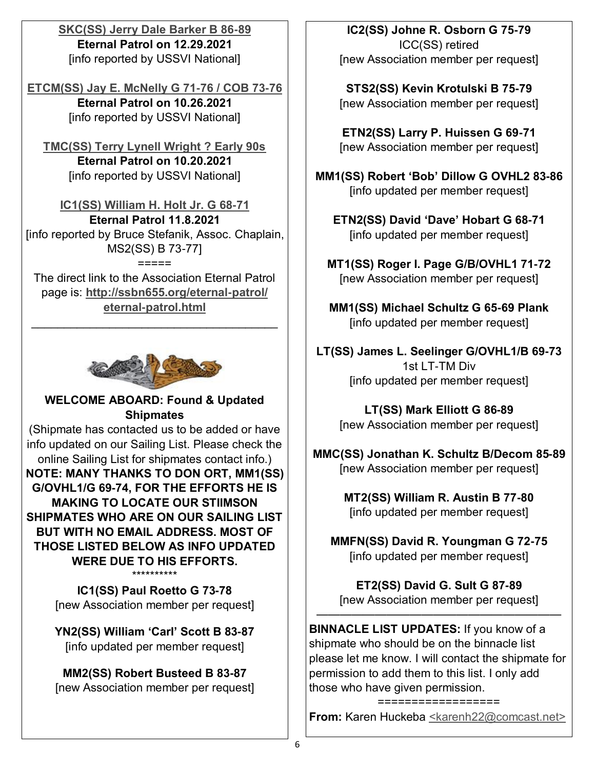**[SKC\(SS\) Jerry Dale Barker B 86-89](http://ssbn655.org/eternal-patrol/obits/BarkerJerryDale.pdf) Eternal Patrol on 12.29.2021** [info reported by USSVI National]

**[ETCM\(SS\) Jay E. McNelly G 71-76 / COB 73-76](http://ssbn655.org/eternal-patrol/obits/McNellyJayE.pdf)**

**Eternal Patrol on 10.26.2021** [info reported by USSVI National]

**[TMC\(SS\) Terry Lynell Wright ? Early 90s](http://ssbn655.org/eternal-patrol/obits/WrightTerryLynell.pdf) Eternal Patrol on 10.20.2021** [info reported by USSVI National]

**[IC1\(SS\) William H. Holt Jr. G 68-71](http://ssbn655.org/eternal-patrol/obits/HoltWilliamH.pdf) Eternal Patrol 11.8.2021** [info reported by Bruce Stefanik, Assoc. Chaplain, MS2(SS) B 73-77] =====

The direct link to the Association Eternal Patrol page is: **[http://ssbn655.org/eternal-patrol/](http://ssbn655.org/eternal-patrol/eternal-patrol.html) [eternal-patrol.html](http://ssbn655.org/eternal-patrol/eternal-patrol.html)**

\_\_\_\_\_\_\_\_\_\_\_\_\_\_\_\_\_\_\_\_\_\_\_\_\_\_\_\_\_\_\_\_\_\_\_\_\_\_



**WELCOME ABOARD: Found & Updated Shipmates**

(Shipmate has contacted us to be added or have info updated on our Sailing List. Please check the online Sailing List for shipmates contact info.) **NOTE: MANY THANKS TO DON ORT, MM1(SS) G/OVHL1/G 69-74, FOR THE EFFORTS HE IS MAKING TO LOCATE OUR STIIMSON SHIPMATES WHO ARE ON OUR SAILING LIST BUT WITH NO EMAIL ADDRESS. MOST OF THOSE LISTED BELOW AS INFO UPDATED WERE DUE TO HIS EFFORTS.**

\*\*\*\*\*\*\*\*\*\*

**IC1(SS) Paul Roetto G 73-78** [new Association member per request]

**YN2(SS) William 'Carl' Scott B 83-87** [info updated per member request]

**MM2(SS) Robert Busteed B 83-87**

[new Association member per request]

**IC2(SS) Johne R. Osborn G 75-79** ICC(SS) retired [new Association member per request]

**STS2(SS) Kevin Krotulski B 75-79** [new Association member per request]

**ETN2(SS) Larry P. Huissen G 69-71** [new Association member per request]

**MM1(SS) Robert 'Bob' Dillow G OVHL2 83-86** [info updated per member request]

**ETN2(SS) David 'Dave' Hobart G 68-71** [info updated per member request]

**MT1(SS) Roger I. Page G/B/OVHL1 71-72** [new Association member per request]

**MM1(SS) Michael Schultz G 65-69 Plank** [info updated per member request]

**LT(SS) James L. Seelinger G/OVHL1/B 69-73** 1st LT-TM Div [info updated per member request]

**LT(SS) Mark Elliott G 86-89** [new Association member per request]

**MMC(SS) Jonathan K. Schultz B/Decom 85-89** [new Association member per request]

> **MT2(SS) William R. Austin B 77-80** [info updated per member request]

**MMFN(SS) David R. Youngman G 72-75** [info updated per member request]

**ET2(SS) David G. Sult G 87-89** [new Association member per request]

—————————————————————

**BINNACLE LIST UPDATES:** If you know of a shipmate who should be on the binnacle list please let me know. I will contact the shipmate for permission to add them to this list. I only add those who have given permission.

================== **From: Karen Huckeba [<karenh22@comcast.net>](mailto:karenh22@comcast.net)**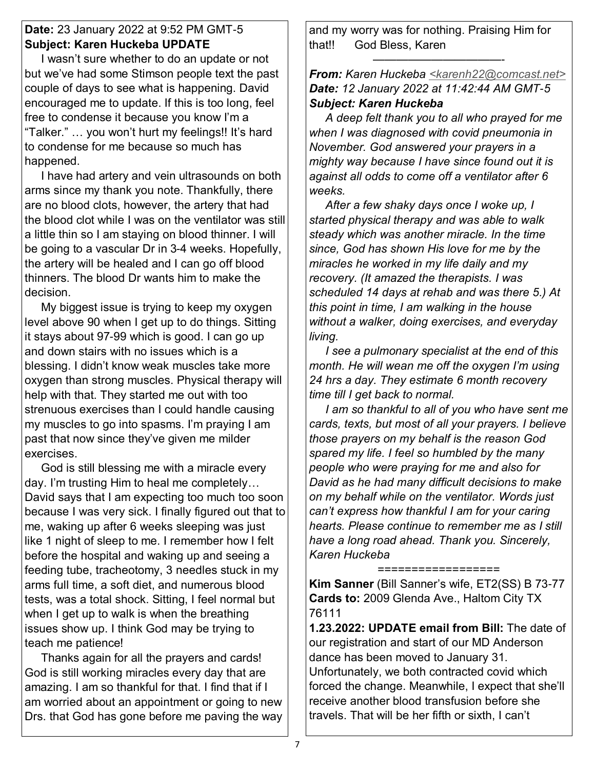# **Date:** 23 January 2022 at 9:52 PM GMT-5 **Subject: Karen Huckeba UPDATE**

 I wasn't sure whether to do an update or not but we've had some Stimson people text the past couple of days to see what is happening. David encouraged me to update. If this is too long, feel free to condense it because you know I'm a "Talker." … you won't hurt my feelings!! It's hard to condense for me because so much has happened.

 I have had artery and vein ultrasounds on both arms since my thank you note. Thankfully, there are no blood clots, however, the artery that had the blood clot while I was on the ventilator was still a little thin so I am staying on blood thinner. I will be going to a vascular Dr in 3-4 weeks. Hopefully, the artery will be healed and I can go off blood thinners. The blood Dr wants him to make the decision.

 My biggest issue is trying to keep my oxygen level above 90 when I get up to do things. Sitting it stays about 97-99 which is good. I can go up and down stairs with no issues which is a blessing. I didn't know weak muscles take more oxygen than strong muscles. Physical therapy will help with that. They started me out with too strenuous exercises than I could handle causing my muscles to go into spasms. I'm praying I am past that now since they've given me milder exercises.

 God is still blessing me with a miracle every day. I'm trusting Him to heal me completely… David says that I am expecting too much too soon because I was very sick. I finally figured out that to me, waking up after 6 weeks sleeping was just like 1 night of sleep to me. I remember how I felt before the hospital and waking up and seeing a feeding tube, tracheotomy, 3 needles stuck in my arms full time, a soft diet, and numerous blood tests, was a total shock. Sitting, I feel normal but when I get up to walk is when the breathing issues show up. I think God may be trying to teach me patience!

 Thanks again for all the prayers and cards! God is still working miracles every day that are amazing. I am so thankful for that. I find that if I am worried about an appointment or going to new Drs. that God has gone before me paving the way and my worry was for nothing. Praising Him for that!! God Bless, Karen

*From: Karen Huckeba [<karenh22@comcast.net>](mailto:karenh22@comcast.net) Date: 12 January 2022 at 11:42:44 AM GMT-5 Subject: Karen Huckeba*

———————————-

 *A deep felt thank you to all who prayed for me when I was diagnosed with covid pneumonia in November. God answered your prayers in a mighty way because I have since found out it is against all odds to come off a ventilator after 6 weeks.* 

 *After a few shaky days once I woke up, I started physical therapy and was able to walk steady which was another miracle. In the time since, God has shown His love for me by the miracles he worked in my life daily and my recovery. (It amazed the therapists. I was scheduled 14 days at rehab and was there 5.) At this point in time, I am walking in the house without a walker, doing exercises, and everyday living.* 

 *I see a pulmonary specialist at the end of this month. He will wean me off the oxygen I'm using 24 hrs a day. They estimate 6 month recovery time till I get back to normal.* 

 *I am so thankful to all of you who have sent me cards, texts, but most of all your prayers. I believe those prayers on my behalf is the reason God spared my life. I feel so humbled by the many people who were praying for me and also for David as he had many difficult decisions to make on my behalf while on the ventilator. Words just can't express how thankful I am for your caring hearts. Please continue to remember me as I still have a long road ahead. Thank you. Sincerely, Karen Huckeba* 

==================

**Kim Sanner** (Bill Sanner's wife, ET2(SS) B 73-77 **Cards to:** 2009 Glenda Ave., Haltom City TX 76111

**1.23.2022: UPDATE email from Bill:** The date of our registration and start of our MD Anderson dance has been moved to January 31. Unfortunately, we both contracted covid which forced the change. Meanwhile, I expect that she'll receive another blood transfusion before she travels. That will be her fifth or sixth, I can't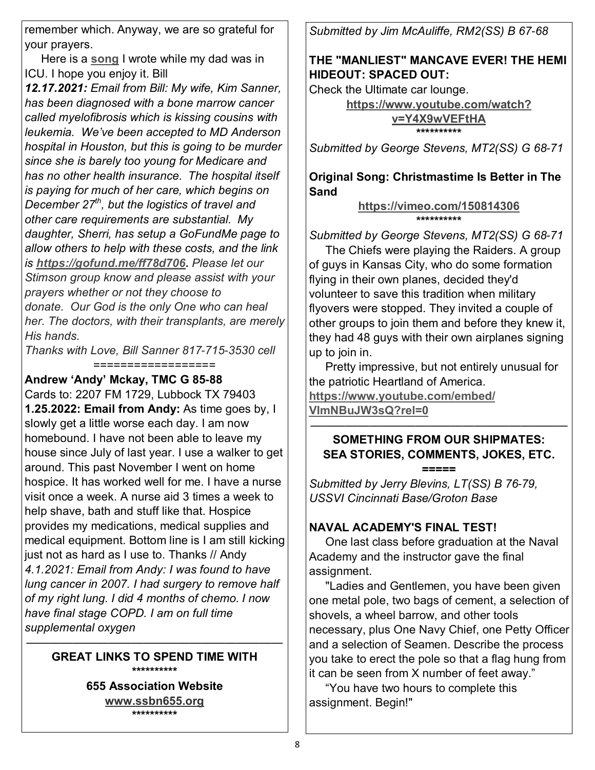remember which. Anyway, we are so grateful for your prayers.

 Here is a **[song](http://ssbn655.org/SongsbySanner/SongsBySanner.html)** I wrote while my dad was in ICU. I hope you enjoy it. Bill

*12.17.2021: Email from Bill: My wife, Kim Sanner, has been diagnosed with a bone marrow cancer called myelofibrosis which is kissing cousins with leukemia. We've been accepted to MD Anderson hospital in Houston, but this is going to be murder since she is barely too young for Medicare and has no other health insurance. The hospital itself is paying for much of her care, which begins on December 27th, but the logistics of travel and other care requirements are substantial. My daughter, Sherri, has setup a GoFundMe page to allow others to help with these costs, and the link is [https://gofund.me/ff78d706.](https://gofund.me/ff78d706) Please let our Stimson group know and please assist with your prayers whether or not they choose to donate. Our God is the only One who can heal her. The doctors, with their transplants, are merely His hands.*

*Thanks with Love, Bill Sanner 817-715-3530 cell* ==================

#### **Andrew 'Andy' Mckay, TMC G 85-88**

Cards to: 2207 FM 1729, Lubbock TX 79403 **1.25.2022: Email from Andy:** As time goes by, I slowly get a little worse each day. I am now homebound. I have not been able to leave my house since July of last year. I use a walker to get around. This past November I went on home hospice. It has worked well for me. I have a nurse visit once a week. A nurse aid 3 times a week to help shave, bath and stuff like that. Hospice provides my medications, medical supplies and medical equipment. Bottom line is I am still kicking just not as hard as I use to. Thanks // Andy *4.1.2021: Email from Andy: I was found to have lung cancer in 2007. I had surgery to remove half of my right lung. I did 4 months of chemo. I now have final stage COPD. I am on full time supplemental oxygen*

> **GREAT LINKS TO SPEND TIME WITH \*\*\*\*\*\*\*\*\*\***

——————————————————————

**655 Association Website [www.ssbn655.org](http://ssbn655.org/) \*\*\*\*\*\*\*\*\*\***

*Submitted by Jim McAuliffe, RM2(SS) B 67-68*

# **THE "MANLIEST" MANCAVE EVER! THE HEMI HIDEOUT: SPACED OUT:**

Check the Ultimate car lounge.

**[https://www.youtube.com/watch?](https://www.youtube.com/watch?v=Y4X9wVEFtHA) [v=Y4X9wVEFtHA](https://www.youtube.com/watch?v=Y4X9wVEFtHA)**

**\*\*\*\*\*\*\*\*\*\***

*Submitted by George Stevens, MT2(SS) G 68-71*

**Original Song: Christmastime Is Better in The Sand**

**<https://vimeo.com/150814306> \*\*\*\*\*\*\*\*\*\*** 

*Submitted by George Stevens, MT2(SS) G 68-71*

 The Chiefs were playing the Raiders. A group of guys in Kansas City, who do some formation flying in their own planes, decided they'd volunteer to save this tradition when military flyovers were stopped. They invited a couple of other groups to join them and before they knew it, they had 48 guys with their own airplanes signing up to join in.

 Pretty impressive, but not entirely unusual for the patriotic Heartland of America. **[https://www.youtube.com/embed/](https://na01.safelinks.protection.outlook.com/?url=https%3A%2F%2Fwww.youtube.com%2Fembed%2FVImNBuJW3sQ%3Frel%3D0&data=04%7C01%7C%7C2debae19ce02442fb9d508d9d77e5d50%7C84df9e7fe9f640afb435aaaaaaaaaaaa%7C1%7C0%7C637777759994710278%7CUnknown%7CTWFpbGZsb3d8eyJWIjo) [VImNBuJW3sQ?rel=0](https://na01.safelinks.protection.outlook.com/?url=https%3A%2F%2Fwww.youtube.com%2Fembed%2FVImNBuJW3sQ%3Frel%3D0&data=04%7C01%7C%7C2debae19ce02442fb9d508d9d77e5d50%7C84df9e7fe9f640afb435aaaaaaaaaaaa%7C1%7C0%7C637777759994710278%7CUnknown%7CTWFpbGZsb3d8eyJWIjo)**

#### **SOMETHING FROM OUR SHIPMATES: SEA STORIES, COMMENTS, JOKES, ETC. =====**

——————————————————————

*Submitted by Jerry Blevins, LT(SS) B 76-79, USSVI Cincinnati Base/Groton Base*

# **NAVAL ACADEMY'S FINAL TEST!**

 One last class before graduation at the Naval Academy and the instructor gave the final assignment.

 "Ladies and Gentlemen, you have been given one metal pole, two bags of cement, a selection of shovels, a wheel barrow, and other tools necessary, plus One Navy Chief, one Petty Officer and a selection of Seamen. Describe the process you take to erect the pole so that a flag hung from it can be seen from X number of feet away."

 "You have two hours to complete this assignment. Begin!"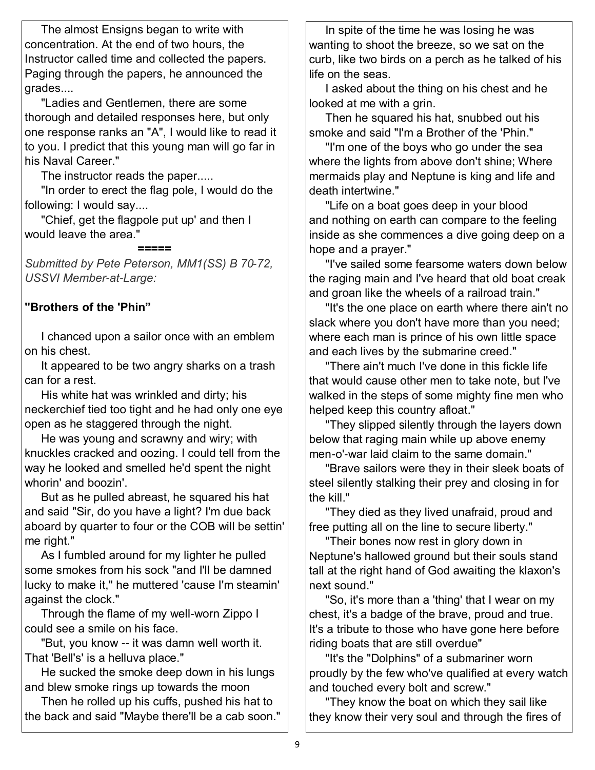The almost Ensigns began to write with concentration. At the end of two hours, the Instructor called time and collected the papers. Paging through the papers, he announced the grades....

 "Ladies and Gentlemen, there are some thorough and detailed responses here, but only one response ranks an "A", I would like to read it to you. I predict that this young man will go far in his Naval Career."

The instructor reads the paper.....

 "In order to erect the flag pole, I would do the following: I would say....

 "Chief, get the flagpole put up' and then I would leave the area."

*Submitted by Pete Peterson, MM1(SS) B 70-72, USSVI Member-at-Large:*

**=====**

# **"Brothers of the 'Phin"**

 I chanced upon a sailor once with an emblem on his chest.

 It appeared to be two angry sharks on a trash can for a rest.

 His white hat was wrinkled and dirty; his neckerchief tied too tight and he had only one eye open as he staggered through the night.

 He was young and scrawny and wiry; with knuckles cracked and oozing. I could tell from the way he looked and smelled he'd spent the night whorin' and boozin'.

 But as he pulled abreast, he squared his hat and said "Sir, do you have a light? I'm due back aboard by quarter to four or the COB will be settin' me right."

 As I fumbled around for my lighter he pulled some smokes from his sock "and I'll be damned lucky to make it," he muttered 'cause I'm steamin' against the clock."

 Through the flame of my well-worn Zippo I could see a smile on his face.

 "But, you know -- it was damn well worth it. That 'Bell's' is a helluva place."

 He sucked the smoke deep down in his lungs and blew smoke rings up towards the moon

 Then he rolled up his cuffs, pushed his hat to the back and said "Maybe there'll be a cab soon."

 In spite of the time he was losing he was wanting to shoot the breeze, so we sat on the curb, like two birds on a perch as he talked of his life on the seas.

 I asked about the thing on his chest and he looked at me with a grin.

 Then he squared his hat, snubbed out his smoke and said "I'm a Brother of the 'Phin."

 "I'm one of the boys who go under the sea where the lights from above don't shine; Where mermaids play and Neptune is king and life and death intertwine."

 "Life on a boat goes deep in your blood and nothing on earth can compare to the feeling inside as she commences a dive going deep on a hope and a prayer."

 "I've sailed some fearsome waters down below the raging main and I've heard that old boat creak and groan like the wheels of a railroad train."

 "It's the one place on earth where there ain't no slack where you don't have more than you need; where each man is prince of his own little space and each lives by the submarine creed."

 "There ain't much I've done in this fickle life that would cause other men to take note, but I've walked in the steps of some mighty fine men who helped keep this country afloat."

 "They slipped silently through the layers down below that raging main while up above enemy men-o'-war laid claim to the same domain."

 "Brave sailors were they in their sleek boats of steel silently stalking their prey and closing in for the kill."

 "They died as they lived unafraid, proud and free putting all on the line to secure liberty."

 "Their bones now rest in glory down in Neptune's hallowed ground but their souls stand tall at the right hand of God awaiting the klaxon's next sound."

 "So, it's more than a 'thing' that I wear on my chest, it's a badge of the brave, proud and true. It's a tribute to those who have gone here before riding boats that are still overdue"

 "It's the "Dolphins" of a submariner worn proudly by the few who've qualified at every watch and touched every bolt and screw."

 "They know the boat on which they sail like they know their very soul and through the fires of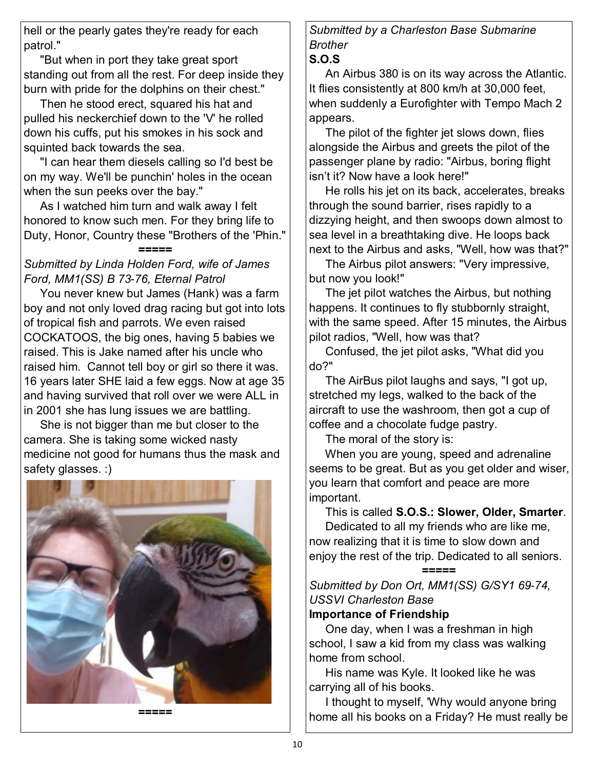hell or the pearly gates they're ready for each patrol."

 "But when in port they take great sport standing out from all the rest. For deep inside they burn with pride for the dolphins on their chest."

 Then he stood erect, squared his hat and pulled his neckerchief down to the 'V' he rolled down his cuffs, put his smokes in his sock and squinted back towards the sea.

 "I can hear them diesels calling so I'd best be on my way. We'll be punchin' holes in the ocean when the sun peeks over the bay."

 As I watched him turn and walk away I felt honored to know such men. For they bring life to Duty, Honor, Country these "Brothers of the 'Phin."

#### **=====**

# *Submitted by Linda Holden Ford, wife of James Ford, MM1(SS) B 73-76, Eternal Patrol*

 You never knew but James (Hank) was a farm boy and not only loved drag racing but got into lots of tropical fish and parrots. We even raised COCKATOOS, the big ones, having 5 babies we raised. This is Jake named after his uncle who raised him. Cannot tell boy or girl so there it was. 16 years later SHE laid a few eggs. Now at age 35 and having survived that roll over we were ALL in in 2001 she has lung issues we are battling.

 She is not bigger than me but closer to the camera. She is taking some wicked nasty medicine not good for humans thus the mask and safety glasses. :)



**=====**

*Submitted by a Charleston Base Submarine Brother*

#### **S.O.S**

 An Airbus 380 is on its way across the Atlantic. It flies consistently at 800 km/h at 30,000 feet, when suddenly a Eurofighter with Tempo Mach 2 appears.

 The pilot of the fighter jet slows down, flies alongside the Airbus and greets the pilot of the passenger plane by radio: "Airbus, boring flight isn't it? Now have a look here!"

 He rolls his jet on its back, accelerates, breaks through the sound barrier, rises rapidly to a dizzying height, and then swoops down almost to sea level in a breathtaking dive. He loops back next to the Airbus and asks, "Well, how was that?"

 The Airbus pilot answers: "Very impressive, but now you look!"

 The jet pilot watches the Airbus, but nothing happens. It continues to fly stubbornly straight, with the same speed. After 15 minutes, the Airbus pilot radios, "Well, how was that?

 Confused, the jet pilot asks, "What did you do?"

 The AirBus pilot laughs and says, "I got up, stretched my legs, walked to the back of the aircraft to use the washroom, then got a cup of coffee and a chocolate fudge pastry.

The moral of the story is:

 When you are young, speed and adrenaline seems to be great. But as you get older and wiser, you learn that comfort and peace are more important.

#### This is called **S.O.S.: Slower, Older, Smarter**. Dedicated to all my friends who are like me, now realizing that it is time to slow down and enjoy the rest of the trip. Dedicated to all seniors. **=====**

*Submitted by Don Ort, MM1(SS) G/SY1 69-74, USSVI Charleston Base*

#### **Importance of Friendship**

 One day, when I was a freshman in high school, I saw a kid from my class was walking home from school.

 His name was Kyle. It looked like he was carrying all of his books.

 I thought to myself, 'Why would anyone bring home all his books on a Friday? He must really be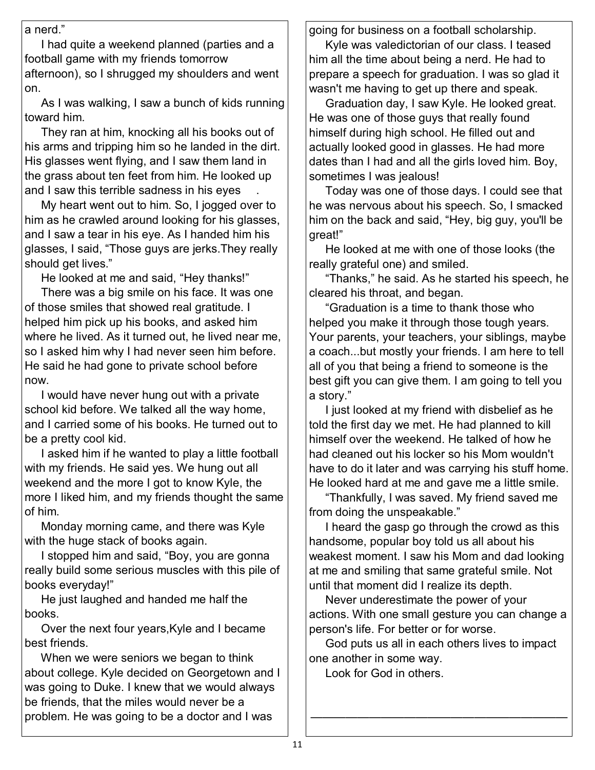a nerd."

 I had quite a weekend planned (parties and a football game with my friends tomorrow afternoon), so I shrugged my shoulders and went on.

 As I was walking, I saw a bunch of kids running toward him.

 They ran at him, knocking all his books out of his arms and tripping him so he landed in the dirt. His glasses went flying, and I saw them land in the grass about ten feet from him. He looked up and I saw this terrible sadness in his eyes .

 My heart went out to him. So, I jogged over to him as he crawled around looking for his glasses, and I saw a tear in his eye. As I handed him his glasses, I said, "Those guys are jerks.They really should get lives."

He looked at me and said, "Hey thanks!"

 There was a big smile on his face. It was one of those smiles that showed real gratitude. I helped him pick up his books, and asked him where he lived. As it turned out, he lived near me, so I asked him why I had never seen him before. He said he had gone to private school before now.

 I would have never hung out with a private school kid before. We talked all the way home, and I carried some of his books. He turned out to be a pretty cool kid.

 I asked him if he wanted to play a little football with my friends. He said yes. We hung out all weekend and the more I got to know Kyle, the more I liked him, and my friends thought the same of him.

 Monday morning came, and there was Kyle with the huge stack of books again.

 I stopped him and said, "Boy, you are gonna really build some serious muscles with this pile of books everyday!"

 He just laughed and handed me half the books.

 Over the next four years,Kyle and I became best friends.

 When we were seniors we began to think about college. Kyle decided on Georgetown and I was going to Duke. I knew that we would always be friends, that the miles would never be a problem. He was going to be a doctor and I was

going for business on a football scholarship.

 Kyle was valedictorian of our class. I teased him all the time about being a nerd. He had to prepare a speech for graduation. I was so glad it wasn't me having to get up there and speak.

 Graduation day, I saw Kyle. He looked great. He was one of those guys that really found himself during high school. He filled out and actually looked good in glasses. He had more dates than I had and all the girls loved him. Boy, sometimes I was jealous!

 Today was one of those days. I could see that he was nervous about his speech. So, I smacked him on the back and said, "Hey, big guy, you'll be great!"

 He looked at me with one of those looks (the really grateful one) and smiled.

 "Thanks," he said. As he started his speech, he cleared his throat, and began.

 "Graduation is a time to thank those who helped you make it through those tough years. Your parents, your teachers, your siblings, maybe a coach...but mostly your friends. I am here to tell all of you that being a friend to someone is the best gift you can give them. I am going to tell you a story."

 I just looked at my friend with disbelief as he told the first day we met. He had planned to kill himself over the weekend. He talked of how he had cleaned out his locker so his Mom wouldn't have to do it later and was carrying his stuff home. He looked hard at me and gave me a little smile.

 "Thankfully, I was saved. My friend saved me from doing the unspeakable."

 I heard the gasp go through the crowd as this handsome, popular boy told us all about his weakest moment. I saw his Mom and dad looking at me and smiling that same grateful smile. Not until that moment did I realize its depth.

 Never underestimate the power of your actions. With one small gesture you can change a person's life. For better or for worse.

 God puts us all in each others lives to impact one another in some way.

——————————————————————

Look for God in others.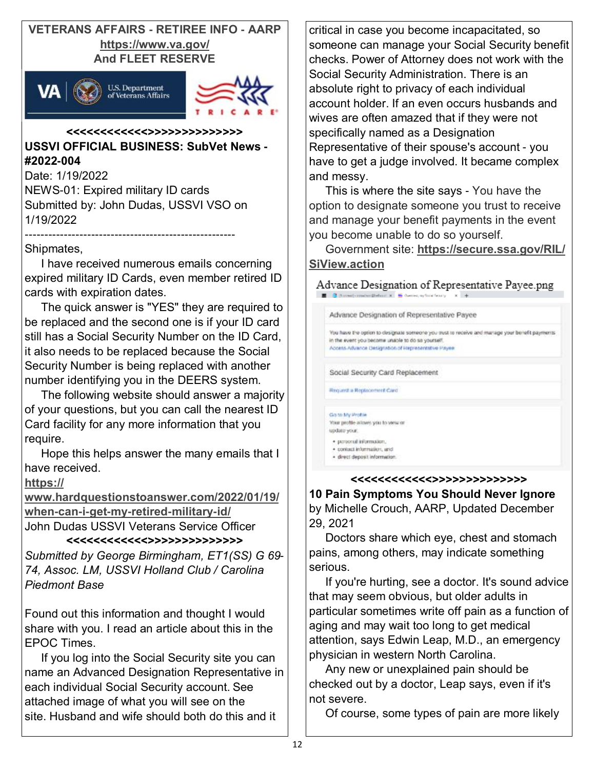### **VETERANS AFFAIRS - RETIREE INFO - AARP <https://www.va.gov/> And FLEET RESERVE**





#### **<<<<<<<<<<<<>>>>>>>>>>>>>> USSVI OFFICIAL BUSINESS: SubVet News - #2022-004**

Date: 1/19/2022 NEWS-01: Expired military ID cards Submitted by: John Dudas, USSVI VSO on 1/19/2022

------------------------------------------------------

Shipmates,

 I have received numerous emails concerning expired military ID Cards, even member retired ID cards with expiration dates.

 The quick answer is "YES" they are required to be replaced and the second one is if your ID card still has a Social Security Number on the ID Card, it also needs to be replaced because the Social Security Number is being replaced with another number identifying you in the DEERS system.

 The following website should answer a majority of your questions, but you can call the nearest ID Card facility for any more information that you require.

 Hope this helps answer the many emails that I have received.

**[https://](https://www.hardquestionstoanswer.com/2022/01/19/when-can-i-get-my-retired-military-id/)**

**[www.hardquestionstoanswer.com/2022/01/19/](https://www.hardquestionstoanswer.com/2022/01/19/when-can-i-get-my-retired-military-id/) [when-can-i-get-my-retired-military-id/](https://www.hardquestionstoanswer.com/2022/01/19/when-can-i-get-my-retired-military-id/)**

John Dudas USSVI Veterans Service Officer **<<<<<<<<<<<<>>>>>>>>>>>>>>** 

*Submitted by George Birmingham, ET1(SS) G 69- 74, Assoc. LM, USSVI Holland Club / Carolina Piedmont Base*

Found out this information and thought I would share with you. I read an article about this in the EPOC Times.

 If you log into the Social Security site you can name an Advanced Designation Representative in each individual Social Security account. See attached image of what you will see on the site. Husband and wife should both do this and it

critical in case you become incapacitated, so someone can manage your Social Security benefit checks. Power of Attorney does not work with the Social Security Administration. There is an absolute right to privacy of each individual account holder. If an even occurs husbands and wives are often amazed that if they were not specifically named as a Designation Representative of their spouse's account - you have to get a judge involved. It became complex and messy.

 This is where the site says - You have the option to designate someone you trust to receive and manage your benefit payments in the event you become unable to do so yourself.

 Government site: **[https://secure.ssa.gov/RIL/](https://secure.ssa.gov/RIL/SiView.action) [SiView.action](https://secure.ssa.gov/RIL/SiView.action)**

Advance Designation of Representative Payee.png

Advance Designation of Representative Payee You have the option to clesignate someone you must to receive and marriage your benefit payments in the event you become unable to do so yourself. Access Advance Designation of Harpresentative Payee

Social Security Card Replacement

Regimit a Replacement Card

Go to My Profile Your profile atlaws you to view on update your. · percent information, · contact information, and · direct deposit information

#### **<<<<<<<<<<<<>>>>>>>>>>>>>>**

**10 Pain Symptoms You Should Never Ignore** by Michelle Crouch, AARP, Updated December 29, 2021

 Doctors share which eye, chest and stomach pains, among others, may indicate something serious.

 If you're hurting, see a doctor. It's sound advice that may seem obvious, but older adults in particular sometimes write off pain as a function of aging and may wait too long to get medical attention, says Edwin Leap, M.D., an emergency physician in western North Carolina.

 Any new or unexplained pain should be checked out by a doctor, Leap says, even if it's not severe.

Of course, some types of pain are more likely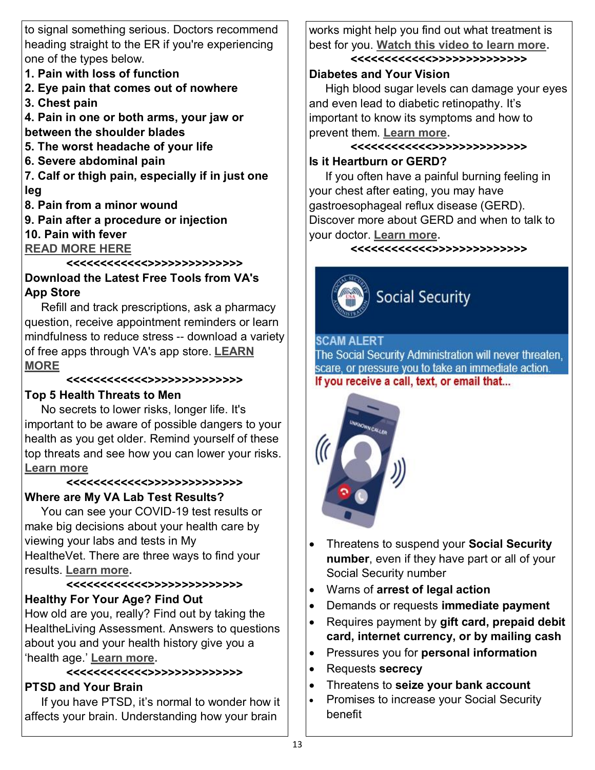to signal something serious. Doctors recommend heading straight to the ER if you're experiencing one of the types below.

- **1. Pain with loss of function**
- **2. Eye pain that comes out of nowhere**
- **3. Chest pain**

**4. Pain in one or both arms, your jaw or between the shoulder blades**

- **5. The worst headache of your life**
- **6. Severe abdominal pain**

**7. Calf or thigh pain, especially if in just one leg**

- **8. Pain from a minor wound**
- **9. Pain after a procedure or injection**
- **10. Pain with fever**
- **[READ MORE HERE](https://www.aarp.org/health/conditions-treatments/info-2020/pain-symptoms.html?cmp=EMC-DSO-NLC-WBLTR---BAU-011422-TS1-6079067&ET_CID=6079067&ET_RID=48098838&encparam=9UILB%2bCm08%2fcRIRrYBdCtZWX3ljBuukLRm2hTMpk1xQ%3d)**

**<<<<<<<<<<<<>>>>>>>>>>>>>> Download the Latest Free Tools from VA's App Store**

 Refill and track prescriptions, ask a pharmacy question, receive appointment reminders or learn mindfulness to reduce stress -- download a variety of free apps through VA's app store. **[LEARN](https://lnks.gd/l/eyJhbGciOiJIUzI1NiJ9.eyJidWxsZXRpbl9saW5rX2lkIjoxMTYsInVyaSI6ImJwMjpjbGljayIsImJ1bGxldGluX2lkIjoiMjAyMjAxMTIuNTE3MTEyMTEiLCJ1cmwiOiJodHRwczovL21vYmlsZS52YS5nb3YvYXBwc3RvcmUifQ.eeEQrB6JVhTZiPdezCbIZLPEQpGDFlJP9DnD0Ha0FSM/s/211273371/br/124772)  [MORE](https://lnks.gd/l/eyJhbGciOiJIUzI1NiJ9.eyJidWxsZXRpbl9saW5rX2lkIjoxMTYsInVyaSI6ImJwMjpjbGljayIsImJ1bGxldGluX2lkIjoiMjAyMjAxMTIuNTE3MTEyMTEiLCJ1cmwiOiJodHRwczovL21vYmlsZS52YS5nb3YvYXBwc3RvcmUifQ.eeEQrB6JVhTZiPdezCbIZLPEQpGDFlJP9DnD0Ha0FSM/s/211273371/br/124772)**

#### **<<<<<<<<<<<<>>>>>>>>>>>>>>**

#### **Top 5 Health Threats to Men**

 No secrets to lower risks, longer life. It's important to be aware of possible dangers to your health as you get older. Remind yourself of these top threats and see how you can lower your risks. **[Learn more](https://lnks.gd/l/eyJhbGciOiJIUzI1NiJ9.eyJidWxsZXRpbl9saW5rX2lkIjoxMDAsInVyaSI6ImJwMjpjbGljayIsImJ1bGxldGluX2lkIjoiMjAyMTExMzAuNDk1MjM1MjEiLCJ1cmwiOiJodHRwczovL3d3dy5teWhlYWx0aC52YS5nb3YvbWh2LXBvcnRhbC13ZWIvd2ViL215aGVhbHRoZXZldC9zczIwMjAwMTI3LWhlYWx0aC10aHJl)**

#### **<<<<<<<<<<<<>>>>>>>>>>>>>>**

#### **Where are My VA Lab Test Results?**

 You can see your COVID-19 test results or make big decisions about your health care by viewing your labs and tests in My HealtheVet. There are three ways to find your results. **[Learn more.](https://lnks.gd/l/eyJhbGciOiJIUzI1NiJ9.eyJidWxsZXRpbl9saW5rX2lkIjoxMDMsInVyaSI6ImJwMjpjbGljayIsImJ1bGxldGluX2lkIjoiMjAyMTExMzAuNDk1MjM1MjEiLCJ1cmwiOiJodHRwczovL3d3dy5teWhlYWx0aC52YS5nb3YvbWh2LXBvcnRhbC13ZWIvd2ViL215aGVhbHRoZXZldC9zczIwMTgwNzE2LXdoZXJlLWFyZS12)**

#### **<<<<<<<<<<<<>>>>>>>>>>>>>>**

### **Healthy For Your Age? Find Out**

How old are you, really? Find out by taking the HealtheLiving Assessment. Answers to questions about you and your health history give you a 'health age.' **[Learn more.](https://lnks.gd/l/eyJhbGciOiJIUzI1NiJ9.eyJidWxsZXRpbl9saW5rX2lkIjoxMDYsInVyaSI6ImJwMjpjbGljayIsImJ1bGxldGluX2lkIjoiMjAyMTExMzAuNDk1MjM1MjEiLCJ1cmwiOiJodHRwczovL3d3dy5teWhlYWx0aC52YS5nb3YvbWh2LXBvcnRhbC13ZWIvd2ViL215aGVhbHRoZXZldC9oZWFsdGhlbGl2aW5nLWFzc2Vzc21l)**

# **<<<<<<<<<<<<>>>>>>>>>>>>>>**

### **PTSD and Your Brain**

 If you have PTSD, it's normal to wonder how it affects your brain. Understanding how your brain

works might help you find out what treatment is best for you. **[Watch this video to learn more.](https://lnks.gd/l/eyJhbGciOiJIUzI1NiJ9.eyJidWxsZXRpbl9saW5rX2lkIjoxMTIsInVyaSI6ImJwMjpjbGljayIsImJ1bGxldGluX2lkIjoiMjAyMTExMzAuNDk1MjM1MjEiLCJ1cmwiOiJodHRwczovL3d3dy5teWhlYWx0aC52YS5nb3YvbWh2LXBvcnRhbC13ZWIvd2ViL215aGVhbHRoZXZldC9zczIwMjExMTIyLXB0c2QtYW5kLXlv)**

# **<<<<<<<<<<<<>>>>>>>>>>>>>>**

### **Diabetes and Your Vision**

 High blood sugar levels can damage your eyes and even lead to diabetic retinopathy. It's important to know its symptoms and how to prevent them. **[Learn more.](https://lnks.gd/l/eyJhbGciOiJIUzI1NiJ9.eyJidWxsZXRpbl9saW5rX2lkIjoxMTgsInVyaSI6ImJwMjpjbGljayIsImJ1bGxldGluX2lkIjoiMjAyMTExMzAuNDk1MjM1MjEiLCJ1cmwiOiJodHRwczovL3d3dy5teWhlYWx0aC52YS5nb3YvbWh2LXBvcnRhbC13ZWIvd2ViL215aGVhbHRoZXZldC9zczIwMjEwMjA5LWRpYWJldGVzLXZp)**

**<<<<<<<<<<<<>>>>>>>>>>>>>>** 

### **Is it Heartburn or GERD?**

 If you often have a painful burning feeling in your chest after eating, you may have gastroesophageal reflux disease (GERD). Discover more about GERD and when to talk to your doctor. **[Learn more.](https://lnks.gd/l/eyJhbGciOiJIUzI1NiJ9.eyJidWxsZXRpbl9saW5rX2lkIjoxMjEsInVyaSI6ImJwMjpjbGljayIsImJ1bGxldGluX2lkIjoiMjAyMTExMzAuNDk1MjM1MjEiLCJ1cmwiOiJodHRwczovL3d3dy52ZXRlcmFuc2hlYWx0aGxpYnJhcnkudmEuZ292LzE0Miw4MjE1N19WQSJ9.zWrKSDF-g3VUnB6ScyRTHN_qbdx6bFMZSks)**

**<<<<<<<<<<<<>>>>>>>>>>>>>>** 



**Social Security** 

#### **SCAM ALERT**

The Social Security Administration will never threaten. scare, or pressure you to take an immediate action. If you receive a call, text, or email that...



- Threatens to suspend your **Social Security number**, even if they have part or all of your Social Security number
- Warns of **arrest of legal action**
- Demands or requests **immediate payment**
- Requires payment by **gift card, prepaid debit card, internet currency, or by mailing cash**
- Pressures you for **personal information**
- Requests **secrecy**
- Threatens to **seize your bank account**
- Promises to increase your Social Security benefit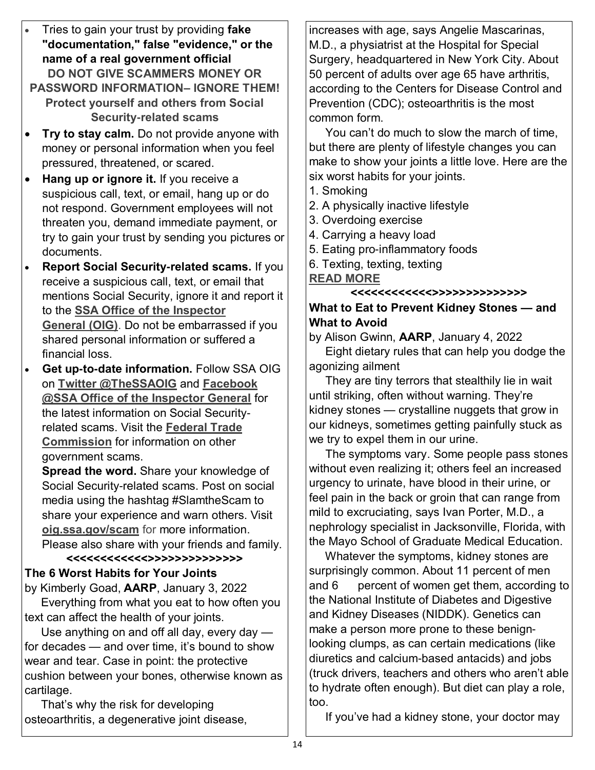- Tries to gain your trust by providing **fake "documentation," false "evidence," or the name of a real government official DO NOT GIVE SCAMMERS MONEY OR PASSWORD INFORMATION– IGNORE THEM! Protect yourself and others from Social Security-related scams**
- **Try to stay calm.** Do not provide anyone with money or personal information when you feel pressured, threatened, or scared.
- **Hang up or ignore it.** If you receive a suspicious call, text, or email, hang up or do not respond. Government employees will not threaten you, demand immediate payment, or try to gain your trust by sending you pictures or documents.
- **Report Social Security-related scams.** If you receive a suspicious call, text, or email that mentions Social Security, ignore it and report it to the **[SSA Office of the Inspector](https://links.ssa.gov/l/eyJhbGciOiJIUzI1NiJ9.eyJidWxsZXRpbl9saW5rX2lkIjoxMDEsInVyaSI6ImJwMjpjbGljayIsImJ1bGxldGluX2lkIjoiMjAyMTExMjguNDk0NDExNDEiLCJ1cmwiOiJodHRwczovL29pZy5zc2EuZ292Lz91dG1fY2FtcGFpZ249b2lnLXNjYW0tMjImdXRtX2NvbnRlbnQ9b2lnLWhvbXBhZ2UtMDAxJnV0bV)  [General](https://links.ssa.gov/l/eyJhbGciOiJIUzI1NiJ9.eyJidWxsZXRpbl9saW5rX2lkIjoxMDEsInVyaSI6ImJwMjpjbGljayIsImJ1bGxldGluX2lkIjoiMjAyMTExMjguNDk0NDExNDEiLCJ1cmwiOiJodHRwczovL29pZy5zc2EuZ292Lz91dG1fY2FtcGFpZ249b2lnLXNjYW0tMjImdXRtX2NvbnRlbnQ9b2lnLWhvbXBhZ2UtMDAxJnV0bV) (OIG)**. Do not be embarrassed if you shared personal information or suffered a financial loss.
- **Get up-to-date information.** Follow SSA OIG on **[Twitter @TheSSAOIG](https://links.ssa.gov/l/eyJhbGciOiJIUzI1NiJ9.eyJidWxsZXRpbl9saW5rX2lkIjoxMDIsInVyaSI6ImJwMjpjbGljayIsImJ1bGxldGluX2lkIjoiMjAyMTExMjguNDk0NDExNDEiLCJ1cmwiOiJodHRwczovL3R3aXR0ZXIuY29tL1RoZVNTQU9JRy8_dXRtX2NhbXBhaWduPW9pZy1zY2FtLTIyJnV0bV9jb250ZW50PXR3aXR0ZXItYm)** and **[Facebook](https://links.ssa.gov/l/eyJhbGciOiJIUzI1NiJ9.eyJidWxsZXRpbl9saW5rX2lkIjoxMDMsInVyaSI6ImJwMjpjbGljayIsImJ1bGxldGluX2lkIjoiMjAyMTExMjguNDk0NDExNDEiLCJ1cmwiOiJodHRwczovL3d3dy5mYWNlYm9vay5jb20vb2lnc3NhLz91dG1fY2FtcGFpZ249b2lnLXNjYW0tMjImdXRtX2NvbnRlbnQ9ZmFjZWJvb2)  [@SSA Office of the Inspector General](https://links.ssa.gov/l/eyJhbGciOiJIUzI1NiJ9.eyJidWxsZXRpbl9saW5rX2lkIjoxMDMsInVyaSI6ImJwMjpjbGljayIsImJ1bGxldGluX2lkIjoiMjAyMTExMjguNDk0NDExNDEiLCJ1cmwiOiJodHRwczovL3d3dy5mYWNlYm9vay5jb20vb2lnc3NhLz91dG1fY2FtcGFpZ249b2lnLXNjYW0tMjImdXRtX2NvbnRlbnQ9ZmFjZWJvb2)** for the latest information on Social Securityrelated scams. Visit the **[Federal Trade](https://links.ssa.gov/l/eyJhbGciOiJIUzI1NiJ9.eyJidWxsZXRpbl9saW5rX2lkIjoxMDQsInVyaSI6ImJwMjpjbGljayIsImJ1bGxldGluX2lkIjoiMjAyMTExMjguNDk0NDExNDEiLCJ1cmwiOiJodHRwczovL3d3dy5jb25zdW1lci5mdGMuZ292L2ZlYXR1cmVzL3NjYW0tYWxlcnRzLz91dG1fY2FtcGFpZ249b2lnLXNjYW0tMjImdX)  [Commission](https://links.ssa.gov/l/eyJhbGciOiJIUzI1NiJ9.eyJidWxsZXRpbl9saW5rX2lkIjoxMDQsInVyaSI6ImJwMjpjbGljayIsImJ1bGxldGluX2lkIjoiMjAyMTExMjguNDk0NDExNDEiLCJ1cmwiOiJodHRwczovL3d3dy5jb25zdW1lci5mdGMuZ292L2ZlYXR1cmVzL3NjYW0tYWxlcnRzLz91dG1fY2FtcGFpZ249b2lnLXNjYW0tMjImdX)** for information on other government scams.

**Spread the word.** Share your knowledge of Social Security-related scams. Post on social media using the hashtag #SlamtheScam to share your experience and warn others. Visit **[oig.ssa.gov/scam](https://links.ssa.gov/l/eyJhbGciOiJIUzI1NiJ9.eyJidWxsZXRpbl9saW5rX2lkIjoxMDUsInVyaSI6ImJwMjpjbGljayIsImJ1bGxldGluX2lkIjoiMjAyMTExMjguNDk0NDExNDEiLCJ1cmwiOiJodHRwczovL29pZy5zc2EuZ292L3NjYW0vP3V0bV9jYW1wYWlnbj1vaWctc2NhbS0yMiZ1dG1fY29udGVudD1vaWctc2NhbS1wYWdlJn)** for more information. Please also share with your friends and family. **<<<<<<<<<<<<>>>>>>>>>>>>>>** 

# **The 6 Worst Habits for Your Joints** by Kimberly Goad, **AARP**, January 3, 2022

 Everything from what you eat to how often you text can affect the health of your joints.

 Use anything on and off all day, every day for decades — and over time, it's bound to show wear and tear. Case in point: the protective cushion between your bones, otherwise known as cartilage.

 That's why the risk for developing osteoarthritis, a degenerative joint disease, increases with age, says Angelie Mascarinas, M.D., a physiatrist at the Hospital for Special Surgery, headquartered in New York City. About 50 percent of adults over age 65 have arthritis, according to the Centers for Disease Control and Prevention (CDC); osteoarthritis is the most common form.

 You can't do much to slow the march of time, but there are plenty of lifestyle changes you can make to show your joints a little love. Here are the six worst habits for your joints.

- 1. Smoking
- 2. A physically inactive lifestyle
- 3. Overdoing exercise
- 4. Carrying a heavy load
- 5. Eating pro-inflammatory foods
- 6. Texting, texting, texting

# **[READ MORE](https://www.aarp.org/health/conditions-treatments/info-2022/worst-habits-joint-health.html?cmp=EMC-DSO-NLC-WBLTR---BAU-012122-F1-6094918&ET_CID=6094918&ET_RID=48098838&encparam=9UILB%2bCm08%2fcRIRrYBdCtZWX3ljBuukLRm2hTMpk1xQ%3d)**

**<<<<<<<<<<<<>>>>>>>>>>>>>>** 

# **What to Eat to Prevent Kidney Stones — and What to Avoid**

by Alison Gwinn, **AARP**, January 4, 2022

 Eight dietary rules that can help you dodge the agonizing ailment

 They are tiny terrors that stealthily lie in wait until striking, often without warning. They're kidney stones — crystalline nuggets that grow in our kidneys, sometimes getting painfully stuck as we try to expel them in our urine.

 The symptoms vary. Some people pass stones without even realizing it; others feel an increased urgency to urinate, have blood in their urine, or feel pain in the back or groin that can range from mild to excruciating, says Ivan Porter, M.D., a nephrology specialist in Jacksonville, Florida, with the Mayo School of Graduate Medical Education.

 Whatever the symptoms, kidney stones are surprisingly common. About 11 percent of men and 6 percent of women get them, according to the National Institute of Diabetes and Digestive and Kidney Diseases (NIDDK). Genetics can make a person more prone to these benignlooking clumps, as can certain medications (like diuretics and calcium-based antacids) and jobs (truck drivers, teachers and others who aren't able to hydrate often enough). But diet can play a role, too.

If you've had a kidney stone, your doctor may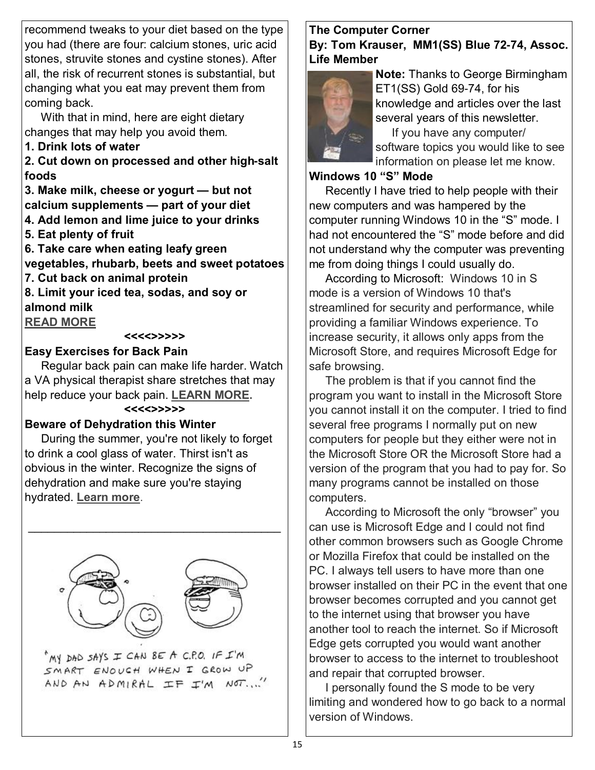recommend tweaks to your diet based on the type you had (there are four: calcium stones, uric acid stones, struvite stones and cystine stones). After all, the risk of recurrent stones is substantial, but changing what you eat may prevent them from coming back.

 With that in mind, here are eight dietary changes that may help you avoid them.

# **1. Drink lots of water**

**2. Cut down on processed and other high-salt foods**

**3. Make milk, cheese or yogurt — but not calcium supplements — part of your diet 4. Add lemon and lime juice to your drinks**

**5. Eat plenty of fruit**

**6. Take care when eating leafy green vegetables, rhubarb, beets and sweet potatoes**

**7. Cut back on animal protein**

**8. Limit your iced tea, sodas, and soy or almond milk**

**[READ MORE](https://www.aarp.org/health/healthy-living/info-2022/foods-prevent-kidney-stones.html?cmp=EMC-DSO-NLC-WBLTR---BAU-012122-F2-6094918&ET_CID=6094918&ET_RID=48098838&encparam=9UILB%2bCm08%2fcRIRrYBdCtZWX3ljBuukLRm2hTMpk1xQ%3d)**

**<<<<>>>>>**

# **Easy Exercises for Back Pain**

 Regular back pain can make life harder. Watch a VA physical therapist share stretches that may help reduce your back pain. **[LEARN MORE.](https://lnks.gd/l/eyJhbGciOiJIUzI1NiJ9.eyJidWxsZXRpbl9saW5rX2lkIjoxMDYsInVyaSI6ImJwMjpjbGljayIsImJ1bGxldGluX2lkIjoiMjAyMjAxMTEuNTE1OTUzNjEiLCJ1cmwiOiJodHRwczovL3d3dy5teWhlYWx0aC52YS5nb3YvbWh2LXBvcnRhbC13ZWIvd2ViL215aGVhbHRoZXZldC9zczIwMjEwMzI5LXNpbXBsZS1leGVy)**

#### **<<<<>>>>>**

# **Beware of Dehydration this Winter**

 During the summer, you're not likely to forget to drink a cool glass of water. Thirst isn't as obvious in the winter. Recognize the signs of dehydration and make sure you're staying hydrated. **[Learn more](https://lnks.gd/l/eyJhbGciOiJIUzI1NiJ9.eyJidWxsZXRpbl9saW5rX2lkIjoxMTIsInVyaSI6ImJwMjpjbGljayIsImJ1bGxldGluX2lkIjoiMjAyMjAxMTEuNTE1OTUzNjEiLCJ1cmwiOiJodHRwczovL3d3dy5teWhlYWx0aC52YS5nb3YvbWh2LXBvcnRhbC13ZWIvd2ViL215aGVhbHRoZXZldC9zczIwMjIwMTA1LWJld2FyZS1vZi1k)**.



\_\_\_\_\_\_\_\_\_\_\_\_\_\_\_\_\_\_\_\_\_\_\_\_\_\_\_\_\_\_\_\_\_\_\_\_\_\_\_

MY DAD SAYS I CAN BE A C.P.O. IF I'M SMART ENOUCH WHEN I GROW UP AND AN ADMIRAL IF I'M NOT...

### **The Computer Corner By: Tom Krauser, MM1(SS) Blue 72-74, Assoc. Life Member**



**Note:** Thanks to George Birmingham ET1(SS) Gold 69-74, for his knowledge and articles over the last several years of this newsletter.

 If you have any computer/ software topics you would like to see information on please let me know.

# **Windows 10 "S" Mode**

 Recently I have tried to help people with their new computers and was hampered by the computer running Windows 10 in the "S" mode. I had not encountered the "S" mode before and did not understand why the computer was preventing me from doing things I could usually do.

 According to Microsoft: Windows 10 in S mode is a version of Windows 10 that's streamlined for security and performance, while providing a familiar Windows experience. To increase security, it allows only apps from the Microsoft Store, and requires Microsoft Edge for safe browsing.

 The problem is that if you cannot find the program you want to install in the Microsoft Store you cannot install it on the computer. I tried to find several free programs I normally put on new computers for people but they either were not in the Microsoft Store OR the Microsoft Store had a version of the program that you had to pay for. So many programs cannot be installed on those computers.

 According to Microsoft the only "browser" you can use is Microsoft Edge and I could not find other common browsers such as Google Chrome or Mozilla Firefox that could be installed on the PC. I always tell users to have more than one browser installed on their PC in the event that one browser becomes corrupted and you cannot get to the internet using that browser you have another tool to reach the internet. So if Microsoft Edge gets corrupted you would want another browser to access to the internet to troubleshoot and repair that corrupted browser.

 I personally found the S mode to be very limiting and wondered how to go back to a normal version of Windows.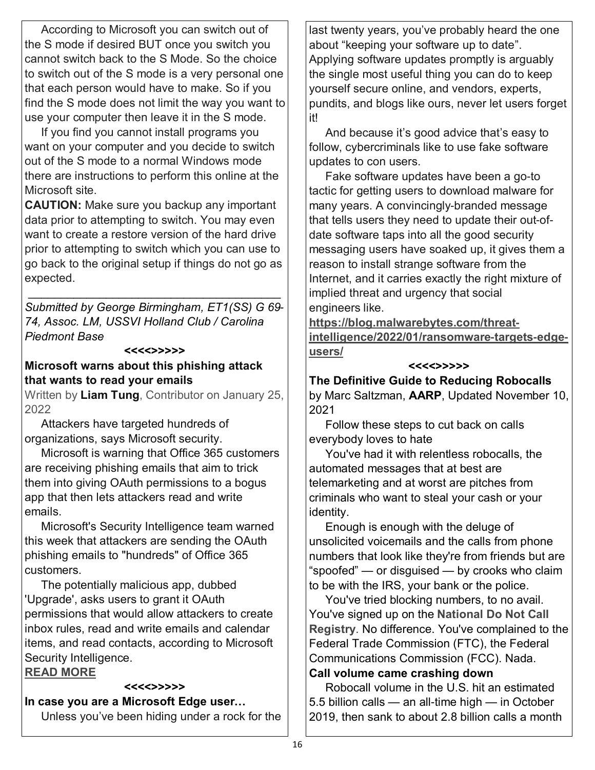According to Microsoft you can switch out of the S mode if desired BUT once you switch you cannot switch back to the S Mode. So the choice to switch out of the S mode is a very personal one that each person would have to make. So if you find the S mode does not limit the way you want to use your computer then leave it in the S mode.

 If you find you cannot install programs you want on your computer and you decide to switch out of the S mode to a normal Windows mode there are instructions to perform this online at the Microsoft site.

**CAUTION:** Make sure you backup any important data prior to attempting to switch. You may even want to create a restore version of the hard drive prior to attempting to switch which you can use to go back to the original setup if things do not go as expected.

*Submitted by George Birmingham, ET1(SS) G 69- 74, Assoc. LM, USSVI Holland Club / Carolina Piedmont Base*

 $\mathcal{L}_\text{max}$  , and the set of the set of the set of the set of the set of the set of the set of the set of the set of the set of the set of the set of the set of the set of the set of the set of the set of the set of the

**<<<<>>>>>**

### **Microsoft warns about this phishing attack that wants to read your emails**

Written by **[Liam Tung](https://www.zdnet.com/meet-the-team/eu/liam-tung/)**, Contributor on January 25, 2022

 Attackers have targeted hundreds of organizations, says Microsoft security.

 Microsoft is warning that Office 365 customers are receiving phishing emails that aim to trick them into giving OAuth permissions to a bogus app that then lets attackers read and write emails.

 Microsoft's Security Intelligence team warned this week that attackers are sending the OAuth phishing emails to "hundreds" of Office 365 customers.

 The potentially malicious app, dubbed 'Upgrade', asks users to grant it OAuth permissions that would allow attackers to create inbox rules, read and write emails and calendar items, and read contacts, according to Microsoft Security Intelligence.

#### **[READ MORE](https://www.zdnet.com/article/microsoft-warns-about-this-phishing-attack-that-wants-to-read-your-emails/)**

#### **<<<<>>>>>**

# **In case you are a Microsoft Edge user…**

Unless you've been hiding under a rock for the

last twenty years, you've probably heard the one about "keeping your software up to date". Applying software updates promptly is arguably the single most useful thing you can do to keep yourself secure online, and vendors, experts, pundits, and blogs like ours, never let users forget it!

 And because it's good advice that's easy to follow, cybercriminals like to use fake software updates to con users.

 Fake software updates have been a go-to tactic for getting users to download malware for many years. A convincingly-branded message that tells users they need to update their out-ofdate software taps into all the good security messaging users have soaked up, it gives them a reason to install strange software from the Internet, and it carries exactly the right mixture of implied threat and urgency that social engineers like.

**[https://blog.malwarebytes.com/threat](https://blog.malwarebytes.com/threat-intelligence/2022/01/ransomware-targets-edge-users/)[intelligence/2022/01/ransomware-targets-edge](https://blog.malwarebytes.com/threat-intelligence/2022/01/ransomware-targets-edge-users/)[users/](https://blog.malwarebytes.com/threat-intelligence/2022/01/ransomware-targets-edge-users/)**

#### **<<<<>>>>>**

**The Definitive Guide to Reducing Robocalls** by Marc Saltzman, **AARP**, Updated November 10, 2021

 Follow these steps to cut back on calls everybody loves to hate

 You've had it with relentless robocalls, the automated messages that at best are telemarketing and at worst are pitches from criminals who want to steal your cash or your identity.

 Enough is enough with the deluge of unsolicited voicemails and the calls from phone numbers that look like they're from friends but are "spoofed" — or disguised — by crooks who claim to be with the IRS, your bank or the police.

 You've tried blocking numbers, to no avail. You've signed up on the **[National Do Not Call](https://www.donotcall.gov/)  [Registry](https://www.donotcall.gov/)**. No difference. You've complained to the Federal Trade Commission (FTC), the Federal Communications Commission (FCC). Nada.

#### **Call volume came crashing down**

 Robocall volume in the U.S. hit an estimated 5.5 billion calls — an all-time high — in October 2019, then sank to about 2.8 billion calls a month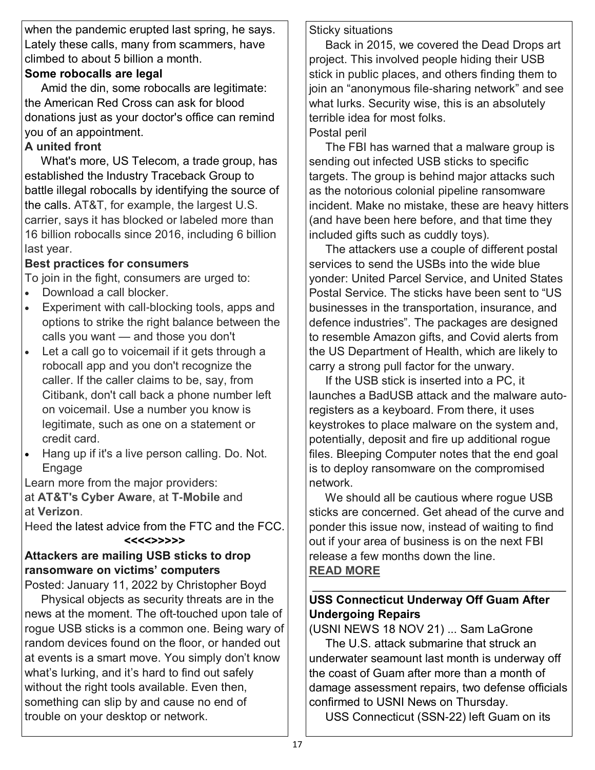when the pandemic erupted last spring, he says. Lately these calls, many from scammers, have climbed to about 5 billion a month.

#### **Some robocalls are legal**

 Amid the din, some robocalls are legitimate: the American Red Cross can ask for blood donations just as your doctor's office can remind you of an appointment.

### **A united front**

 What's more, US Telecom, a trade group, has established the Industry Traceback Group to battle illegal robocalls by identifying the source of the calls. AT&T, for example, the largest U.S. carrier, says it has blocked or labeled more than 16 billion robocalls since 2016, including 6 billion last year.

#### **Best practices for consumers**

To join in the fight, consumers are urged to:

- Download a call blocker.
- Experiment with call-blocking tools, apps and options to strike the right balance between the calls you want — and those you don't
- Let a call go to voicemail if it gets through a robocall app and you don't recognize the caller. If the caller claims to be, say, from Citibank, don't call back a phone number left on voicemail. Use a number you know is legitimate, such as one on a statement or credit card.
- Hang up if it's a live person calling. Do. Not. Engage

Learn more from the major providers:

at **AT&T's [Cyber Aware](https://about.att.com/pages/cyberaware?source=ECCy00ocy0000000L&wtExtndSource=cyber)**, at **[T-Mobile](https://www.t-mobile.com/support/plans-features/block-unwanted-calls)** and at **[Verizon](https://www.verizon.com/about/responsibility/robocalls)**.

Heed the latest advice from the FTC and the FCC. **<<<<>>>>>**

### **Attackers are mailing USB sticks to drop ransomware on victims' computers**

Posted: January 11, 2022 by Christopher Boyd

 Physical objects as security threats are in the news at the moment. The oft-touched upon tale of rogue USB sticks is a common one. Being wary of random devices found on the floor, or handed out at events is a smart move. You simply don't know what's lurking, and it's hard to find out safely without the right tools available. Even then, something can slip by and cause no end of trouble on your desktop or network.

Sticky situations

 Back in 2015, we covered the Dead Drops art project. This involved people hiding their USB stick in public places, and others finding them to join an "anonymous file-sharing network" and see what lurks. Security wise, this is an absolutely terrible idea for most folks. Postal peril

 The FBI has warned that a malware group is sending out infected USB sticks to specific targets. The group is behind major attacks such as the notorious colonial pipeline ransomware incident. Make no mistake, these are heavy hitters (and have been here before, and that time they included gifts such as cuddly toys).

 The attackers use a couple of different postal services to send the USBs into the wide blue yonder: United Parcel Service, and United States Postal Service. The sticks have been sent to "US businesses in the transportation, insurance, and defence industries". The packages are designed to resemble Amazon gifts, and Covid alerts from the US Department of Health, which are likely to carry a strong pull factor for the unwary.

 If the USB stick is inserted into a PC, it launches a BadUSB attack and the malware autoregisters as a keyboard. From there, it uses keystrokes to place malware on the system and, potentially, deposit and fire up additional rogue files. Bleeping Computer notes that the end goal is to deploy ransomware on the compromised network.

 We should all be cautious where rogue USB sticks are concerned. Get ahead of the curve and ponder this issue now, instead of waiting to find out if your area of business is on the next FBI release a few months down the line. **[READ MORE](https://blog.malwarebytes.com/cybercrime/2022/01/attackers-are-mailing-usb-sticks-to-drop-ransomware-on-victims-computers/)**

 $\mathcal{L}_\mathcal{L}$  , where  $\mathcal{L}_\mathcal{L}$  is the set of the set of the set of the set of the set of the set of the set of the set of the set of the set of the set of the set of the set of the set of the set of the set of the

# **USS Connecticut Underway Off Guam After Undergoing Repairs**

(USNI NEWS 18 NOV 21) ... Sam LaGrone The U.S. attack submarine that struck an underwater seamount last month is underway off the coast of Guam after more than a month of damage assessment repairs, two defense officials confirmed to USNI News on Thursday.

USS Connecticut (SSN-22) left Guam on its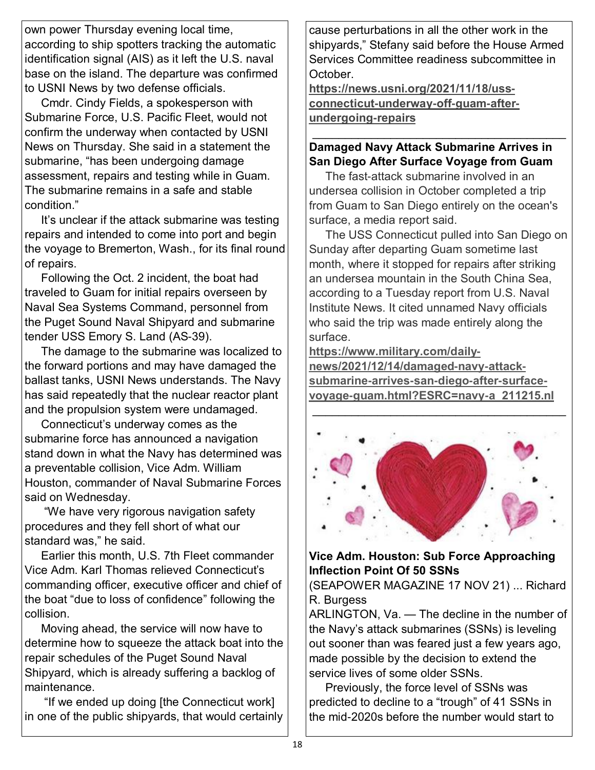own power Thursday evening local time, according to ship spotters tracking the automatic identification signal (AIS) as it left the U.S. naval base on the island. The departure was confirmed to USNI News by two defense officials.

 Cmdr. Cindy Fields, a spokesperson with Submarine Force, U.S. Pacific Fleet, would not confirm the underway when contacted by USNI News on Thursday. She said in a statement the submarine, "has been undergoing damage assessment, repairs and testing while in Guam. The submarine remains in a safe and stable condition."

 It's unclear if the attack submarine was testing repairs and intended to come into port and begin the voyage to Bremerton, Wash., for its final round of repairs.

 Following the Oct. 2 incident, the boat had traveled to Guam for initial repairs overseen by Naval Sea Systems Command, personnel from the Puget Sound Naval Shipyard and submarine tender USS Emory S. Land (AS-39).

 The damage to the submarine was localized to the forward portions and may have damaged the ballast tanks, USNI News understands. The Navy has said repeatedly that the nuclear reactor plant and the propulsion system were undamaged.

 Connecticut's underway comes as the submarine force has announced a navigation stand down in what the Navy has determined was a preventable collision, Vice Adm. William Houston, commander of Naval Submarine Forces said on Wednesday.

 "We have very rigorous navigation safety procedures and they fell short of what our standard was," he said.

 Earlier this month, U.S. 7th Fleet commander Vice Adm. Karl Thomas relieved Connecticut's commanding officer, executive officer and chief of the boat "due to loss of confidence" following the collision.

 Moving ahead, the service will now have to determine how to squeeze the attack boat into the repair schedules of the Puget Sound Naval Shipyard, which is already suffering a backlog of maintenance.

 "If we ended up doing [the Connecticut work] in one of the public shipyards, that would certainly cause perturbations in all the other work in the shipyards," Stefany said before the House Armed Services Committee readiness subcommittee in October.

**[https://news.usni.org/2021/11/18/uss](https://news.usni.org/2021/11/18/uss-connecticut-underway-off-guam-after-undergoing-repairs)[connecticut-underway-off-guam-after](https://news.usni.org/2021/11/18/uss-connecticut-underway-off-guam-after-undergoing-repairs)[undergoing-repairs](https://news.usni.org/2021/11/18/uss-connecticut-underway-off-guam-after-undergoing-repairs)**

### **Damaged Navy Attack Submarine Arrives in San Diego After Surface Voyage from Guam**

 $\mathcal{L}_\mathcal{L}$  , where  $\mathcal{L}_\mathcal{L}$  is the set of the set of the set of the set of the set of the set of the set of the set of the set of the set of the set of the set of the set of the set of the set of the set of the

 The fast-attack submarine involved in an undersea collision in October completed a trip from Guam to San Diego entirely on the ocean's surface, a media report said.

 The USS Connecticut pulled into San Diego on Sunday after departing Guam sometime last month, where it stopped for repairs after striking an undersea mountain in the South China Sea, according to a Tuesday report from U.S. Naval Institute News. It cited unnamed Navy officials who said the trip was made entirely along the surface.

**[https://www.military.com/daily](https://www.military.com/daily-news/2021/12/14/damaged-navy-attack-submarine-arrives-san-diego-after-surface-voyage-guam.html?ESRC=navy-a_211215.nl)[news/2021/12/14/damaged-navy-attack](https://www.military.com/daily-news/2021/12/14/damaged-navy-attack-submarine-arrives-san-diego-after-surface-voyage-guam.html?ESRC=navy-a_211215.nl)[submarine-arrives-san-diego-after-surface](https://www.military.com/daily-news/2021/12/14/damaged-navy-attack-submarine-arrives-san-diego-after-surface-voyage-guam.html?ESRC=navy-a_211215.nl)[voyage-guam.html?ESRC=navy-a\\_211215.nl](https://www.military.com/daily-news/2021/12/14/damaged-navy-attack-submarine-arrives-san-diego-after-surface-voyage-guam.html?ESRC=navy-a_211215.nl)**



### **Vice Adm. Houston: Sub Force Approaching Inflection Point Of 50 SSNs**

(SEAPOWER MAGAZINE 17 NOV 21) ... Richard R. Burgess

ARLINGTON, Va. — The decline in the number of the Navy's attack submarines (SSNs) is leveling out sooner than was feared just a few years ago, made possible by the decision to extend the service lives of some older SSNs.

 Previously, the force level of SSNs was predicted to decline to a "trough" of 41 SSNs in the mid-2020s before the number would start to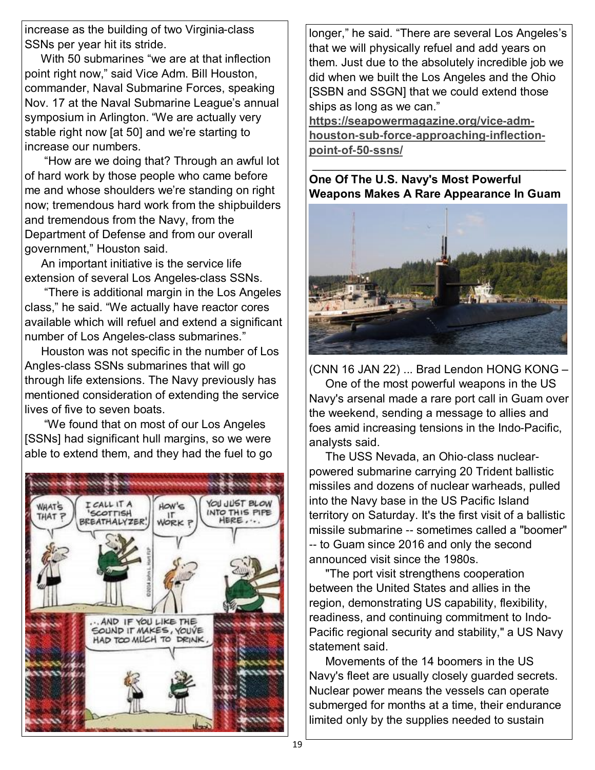increase as the building of two Virginia-class SSNs per year hit its stride.

 With 50 submarines "we are at that inflection point right now," said Vice Adm. Bill Houston, commander, Naval Submarine Forces, speaking Nov. 17 at the Naval Submarine League's annual symposium in Arlington. "We are actually very stable right now [at 50] and we're starting to increase our numbers.

 "How are we doing that? Through an awful lot of hard work by those people who came before me and whose shoulders we're standing on right now; tremendous hard work from the shipbuilders and tremendous from the Navy, from the Department of Defense and from our overall government," Houston said.

 An important initiative is the service life extension of several Los Angeles-class SSNs.

 "There is additional margin in the Los Angeles class," he said. "We actually have reactor cores available which will refuel and extend a significant number of Los Angeles-class submarines."

 Houston was not specific in the number of Los Angles-class SSNs submarines that will go through life extensions. The Navy previously has mentioned consideration of extending the service lives of five to seven boats.

 "We found that on most of our Los Angeles [SSNs] had significant hull margins, so we were able to extend them, and they had the fuel to go



longer," he said. "There are several Los Angeles's that we will physically refuel and add years on them. Just due to the absolutely incredible job we did when we built the Los Angeles and the Ohio [SSBN and SSGN] that we could extend those ships as long as we can."

**[https://seapowermagazine.org/vice-adm](https://seapowermagazine.org/vice-adm-houston-sub-force-approaching-inflection-point-of-50-ssns/)[houston-sub-force-approaching-inflection](https://seapowermagazine.org/vice-adm-houston-sub-force-approaching-inflection-point-of-50-ssns/)[point-of-50-ssns/](https://seapowermagazine.org/vice-adm-houston-sub-force-approaching-inflection-point-of-50-ssns/)**

#### **One Of The U.S. Navy's Most Powerful Weapons Makes A Rare Appearance In Guam**

 $\mathcal{L}_\mathcal{L}$  , where  $\mathcal{L}_\mathcal{L}$  is the set of the set of the set of the set of the set of the set of the set of the set of the set of the set of the set of the set of the set of the set of the set of the set of the



(CNN 16 JAN 22) ... Brad Lendon HONG KONG – One of the most powerful weapons in the US Navy's arsenal made a rare port call in Guam over the weekend, sending a message to allies and foes amid increasing tensions in the Indo-Pacific, analysts said.

 The USS Nevada, an Ohio-class nuclearpowered submarine carrying 20 Trident ballistic missiles and dozens of nuclear warheads, pulled into the Navy base in the US Pacific Island territory on Saturday. It's the first visit of a ballistic missile submarine -- sometimes called a "boomer" -- to Guam since 2016 and only the second announced visit since the 1980s.

 "The port visit strengthens cooperation between the United States and allies in the region, demonstrating US capability, flexibility, readiness, and continuing commitment to Indo-Pacific regional security and stability," a US Navy statement said.

 Movements of the 14 boomers in the US Navy's fleet are usually closely guarded secrets. Nuclear power means the vessels can operate submerged for months at a time, their endurance limited only by the supplies needed to sustain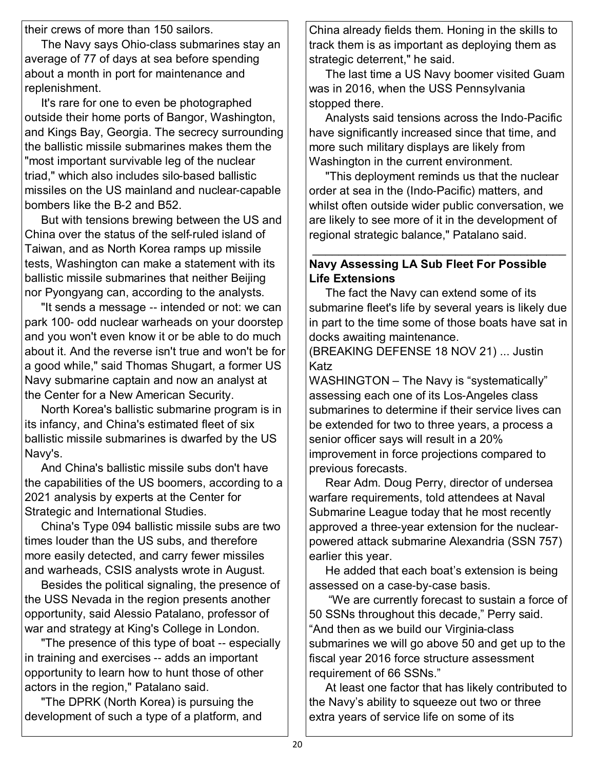their crews of more than 150 sailors.

 The Navy says Ohio-class submarines stay an average of 77 of days at sea before spending about a month in port for maintenance and replenishment.

 It's rare for one to even be photographed outside their home ports of Bangor, Washington, and Kings Bay, Georgia. The secrecy surrounding the ballistic missile submarines makes them the "most important survivable leg of the nuclear triad," which also includes silo-based ballistic missiles on the US mainland and nuclear-capable bombers like the B-2 and B52.

 But with tensions brewing between the US and China over the status of the self-ruled island of Taiwan, and as North Korea ramps up missile tests, Washington can make a statement with its ballistic missile submarines that neither Beijing nor Pyongyang can, according to the analysts.

 "It sends a message -- intended or not: we can park 100- odd nuclear warheads on your doorstep and you won't even know it or be able to do much about it. And the reverse isn't true and won't be for a good while," said Thomas Shugart, a former US Navy submarine captain and now an analyst at the Center for a New American Security.

 North Korea's ballistic submarine program is in its infancy, and China's estimated fleet of six ballistic missile submarines is dwarfed by the US Navy's.

 And China's ballistic missile subs don't have the capabilities of the US boomers, according to a 2021 analysis by experts at the Center for Strategic and International Studies.

 China's Type 094 ballistic missile subs are two times louder than the US subs, and therefore more easily detected, and carry fewer missiles and warheads, CSIS analysts wrote in August.

 Besides the political signaling, the presence of the USS Nevada in the region presents another opportunity, said Alessio Patalano, professor of war and strategy at King's College in London.

 "The presence of this type of boat -- especially in training and exercises -- adds an important opportunity to learn how to hunt those of other actors in the region," Patalano said.

 "The DPRK (North Korea) is pursuing the development of such a type of a platform, and China already fields them. Honing in the skills to track them is as important as deploying them as strategic deterrent," he said.

 The last time a US Navy boomer visited Guam was in 2016, when the USS Pennsylvania stopped there.

 Analysts said tensions across the Indo-Pacific have significantly increased since that time, and more such military displays are likely from Washington in the current environment.

 "This deployment reminds us that the nuclear order at sea in the (Indo-Pacific) matters, and whilst often outside wider public conversation, we are likely to see more of it in the development of regional strategic balance," Patalano said.

\_\_\_\_\_\_\_\_\_\_\_\_\_\_\_\_\_\_\_\_\_\_\_\_\_\_\_\_\_\_\_\_\_\_\_\_\_\_\_

### **Navy Assessing LA Sub Fleet For Possible Life Extensions**

 The fact the Navy can extend some of its submarine fleet's life by several years is likely due in part to the time some of those boats have sat in docks awaiting maintenance.

(BREAKING DEFENSE 18 NOV 21) ... Justin Katz

WASHINGTON – The Navy is "systematically" assessing each one of its Los-Angeles class submarines to determine if their service lives can be extended for two to three years, a process a senior officer says will result in a 20% improvement in force projections compared to previous forecasts.

 Rear Adm. Doug Perry, director of undersea warfare requirements, told attendees at Naval Submarine League today that he most recently approved a three-year extension for the nuclearpowered attack submarine Alexandria (SSN 757) earlier this year.

 He added that each boat's extension is being assessed on a case-by-case basis.

 "We are currently forecast to sustain a force of 50 SSNs throughout this decade," Perry said. "And then as we build our Virginia-class submarines we will go above 50 and get up to the fiscal year 2016 force structure assessment requirement of 66 SSNs."

 At least one factor that has likely contributed to the Navy's ability to squeeze out two or three extra years of service life on some of its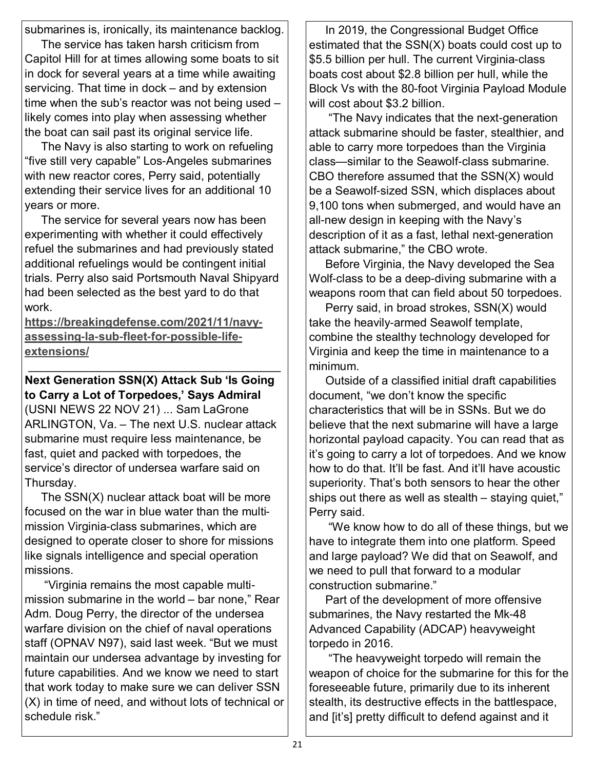submarines is, ironically, its maintenance backlog.

 The service has taken harsh criticism from Capitol Hill for at times allowing some boats to sit in dock for several years at a time while awaiting servicing. That time in dock – and by extension time when the sub's reactor was not being used – likely comes into play when assessing whether the boat can sail past its original service life.

 The Navy is also starting to work on refueling "five still very capable" Los-Angeles submarines with new reactor cores, Perry said, potentially extending their service lives for an additional 10 years or more.

 The service for several years now has been experimenting with whether it could effectively refuel the submarines and had previously stated additional refuelings would be contingent initial trials. Perry also said Portsmouth Naval Shipyard had been selected as the best yard to do that work.

**[https://breakingdefense.com/2021/11/navy](https://breakingdefense.com/2021/11/navy-assessing-la-sub-fleet-for-possible-life-extensions/)[assessing-la-sub-fleet-for-possible-life](https://breakingdefense.com/2021/11/navy-assessing-la-sub-fleet-for-possible-life-extensions/)[extensions/](https://breakingdefense.com/2021/11/navy-assessing-la-sub-fleet-for-possible-life-extensions/)**

\_\_\_\_\_\_\_\_\_\_\_\_\_\_\_\_\_\_\_\_\_\_\_\_\_\_\_\_\_\_\_\_\_\_\_\_\_\_\_ **Next Generation SSN(X) Attack Sub 'Is Going to Carry a Lot of Torpedoes,' Says Admiral** (USNI NEWS 22 NOV 21) ... Sam LaGrone ARLINGTON, Va. – The next U.S. nuclear attack

submarine must require less maintenance, be fast, quiet and packed with torpedoes, the service's director of undersea warfare said on Thursday.

 The SSN(X) nuclear attack boat will be more focused on the war in blue water than the multimission Virginia-class submarines, which are designed to operate closer to shore for missions like signals intelligence and special operation missions.

 "Virginia remains the most capable multimission submarine in the world – bar none," Rear Adm. Doug Perry, the director of the undersea warfare division on the chief of naval operations staff (OPNAV N97), said last week. "But we must maintain our undersea advantage by investing for future capabilities. And we know we need to start that work today to make sure we can deliver SSN (X) in time of need, and without lots of technical or schedule risk."

 In 2019, the Congressional Budget Office estimated that the SSN(X) boats could cost up to \$5.5 billion per hull. The current Virginia-class boats cost about \$2.8 billion per hull, while the Block Vs with the 80-foot Virginia Payload Module will cost about \$3.2 billion.

 "The Navy indicates that the next-generation attack submarine should be faster, stealthier, and able to carry more torpedoes than the Virginia class—similar to the Seawolf-class submarine. CBO therefore assumed that the SSN(X) would be a Seawolf-sized SSN, which displaces about 9,100 tons when submerged, and would have an all-new design in keeping with the Navy's description of it as a fast, lethal next-generation attack submarine," the CBO wrote.

 Before Virginia, the Navy developed the Sea Wolf-class to be a deep-diving submarine with a weapons room that can field about 50 torpedoes.

 Perry said, in broad strokes, SSN(X) would take the heavily-armed Seawolf template, combine the stealthy technology developed for Virginia and keep the time in maintenance to a minimum.

 Outside of a classified initial draft capabilities document, "we don't know the specific characteristics that will be in SSNs. But we do believe that the next submarine will have a large horizontal payload capacity. You can read that as it's going to carry a lot of torpedoes. And we know how to do that. It'll be fast. And it'll have acoustic superiority. That's both sensors to hear the other ships out there as well as stealth – staying quiet," Perry said.

 "We know how to do all of these things, but we have to integrate them into one platform. Speed and large payload? We did that on Seawolf, and we need to pull that forward to a modular construction submarine."

 Part of the development of more offensive submarines, the Navy restarted the Mk-48 Advanced Capability (ADCAP) heavyweight torpedo in 2016.

 "The heavyweight torpedo will remain the weapon of choice for the submarine for this for the foreseeable future, primarily due to its inherent stealth, its destructive effects in the battlespace, and [it's] pretty difficult to defend against and it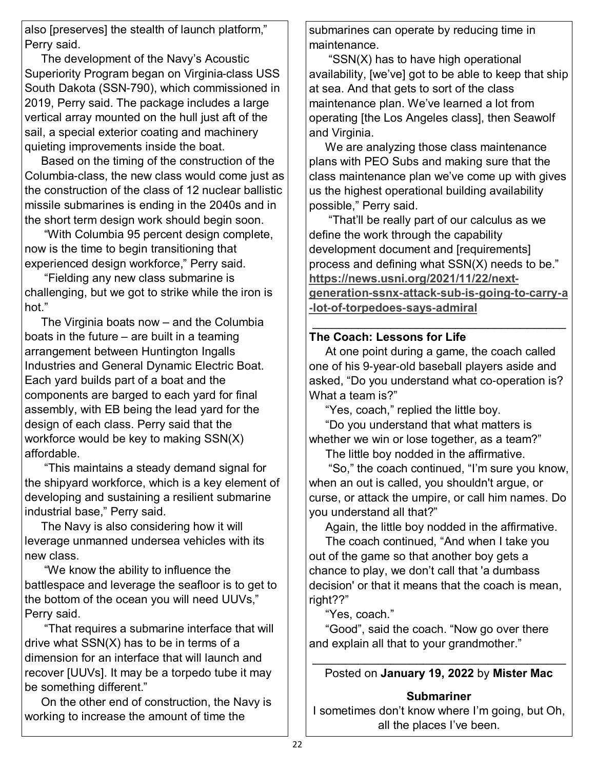also [preserves] the stealth of launch platform," Perry said.

 The development of the Navy's Acoustic Superiority Program began on Virginia-class USS South Dakota (SSN-790), which commissioned in 2019, Perry said. The package includes a large vertical array mounted on the hull just aft of the sail, a special exterior coating and machinery quieting improvements inside the boat.

 Based on the timing of the construction of the Columbia-class, the new class would come just as the construction of the class of 12 nuclear ballistic missile submarines is ending in the 2040s and in the short term design work should begin soon.

 "With Columbia 95 percent design complete, now is the time to begin transitioning that experienced design workforce," Perry said.

 "Fielding any new class submarine is challenging, but we got to strike while the iron is hot."

 The Virginia boats now – and the Columbia boats in the future – are built in a teaming arrangement between Huntington Ingalls Industries and General Dynamic Electric Boat. Each yard builds part of a boat and the components are barged to each yard for final assembly, with EB being the lead yard for the design of each class. Perry said that the workforce would be key to making SSN(X) affordable.

 "This maintains a steady demand signal for the shipyard workforce, which is a key element of developing and sustaining a resilient submarine industrial base," Perry said.

 The Navy is also considering how it will leverage unmanned undersea vehicles with its new class.

 "We know the ability to influence the battlespace and leverage the seafloor is to get to the bottom of the ocean you will need UUVs," Perry said.

 "That requires a submarine interface that will drive what SSN(X) has to be in terms of a dimension for an interface that will launch and recover [UUVs]. It may be a torpedo tube it may be something different."

 On the other end of construction, the Navy is working to increase the amount of time the

submarines can operate by reducing time in maintenance.

 "SSN(X) has to have high operational availability, [we've] got to be able to keep that ship at sea. And that gets to sort of the class maintenance plan. We've learned a lot from operating [the Los Angeles class], then Seawolf and Virginia.

 We are analyzing those class maintenance plans with PEO Subs and making sure that the class maintenance plan we've come up with gives us the highest operational building availability possible," Perry said.

 "That'll be really part of our calculus as we define the work through the capability development document and [requirements] process and defining what SSN(X) needs to be." **[https://news.usni.org/2021/11/22/next](https://news.usni.org/2021/11/22/next-generation-ssnx-attack-sub-is-going-to-carry-a-lot-of-torpedoes-says-admiral)[generation-ssnx-attack-sub-is-going-to-carry-a](https://news.usni.org/2021/11/22/next-generation-ssnx-attack-sub-is-going-to-carry-a-lot-of-torpedoes-says-admiral) [-lot-of-torpedoes-says-admiral](https://news.usni.org/2021/11/22/next-generation-ssnx-attack-sub-is-going-to-carry-a-lot-of-torpedoes-says-admiral)**

 $\mathcal{L}_\mathcal{L}$  , where  $\mathcal{L}_\mathcal{L}$  is the set of the set of the set of the set of the set of the set of the set of the set of the set of the set of the set of the set of the set of the set of the set of the set of the

#### **The Coach: Lessons for Life**

 At one point during a game, the coach called one of his 9-year-old baseball players aside and asked, "Do you understand what co-operation is? What a team is?"

"Yes, coach," replied the little boy.

 "Do you understand that what matters is whether we win or lose together, as a team?"

The little boy nodded in the affirmative.

 "So," the coach continued, "I'm sure you know, when an out is called, you shouldn't argue, or curse, or attack the umpire, or call him names. Do you understand all that?"

 Again, the little boy nodded in the affirmative. The coach continued, "And when I take you out of the game so that another boy gets a chance to play, we don't call that 'a dumbass decision' or that it means that the coach is mean, right??"

"Yes, coach."

 "Good", said the coach. "Now go over there and explain all that to your grandmother."

#### $\mathcal{L}_\mathcal{L}$  , where  $\mathcal{L}_\mathcal{L}$  is the set of the set of the set of the set of the set of the set of the set of the set of the set of the set of the set of the set of the set of the set of the set of the set of the Posted on **January 19, 2022** by **[Mister Mac](https://theleansubmariner.com/author/mstrmac711/)**

#### **Submariner**

I sometimes don't know where I'm going, but Oh, all the places I've been.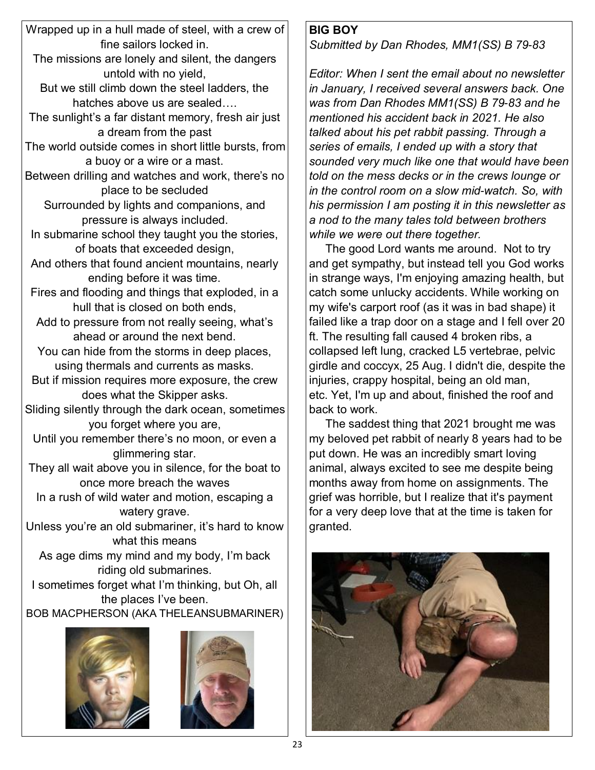Wrapped up in a hull made of steel, with a crew of fine sailors locked in. The missions are lonely and silent, the dangers untold with no yield, But we still climb down the steel ladders, the hatches above us are sealed…. The sunlight's a far distant memory, fresh air just a dream from the past The world outside comes in short little bursts, from a buoy or a wire or a mast. Between drilling and watches and work, there's no place to be secluded Surrounded by lights and companions, and pressure is always included. In submarine school they taught you the stories, of boats that exceeded design, And others that found ancient mountains, nearly ending before it was time. Fires and flooding and things that exploded, in a hull that is closed on both ends, Add to pressure from not really seeing, what's ahead or around the next bend. You can hide from the storms in deep places, using thermals and currents as masks. But if mission requires more exposure, the crew does what the Skipper asks. Sliding silently through the dark ocean, sometimes you forget where you are, Until you remember there's no moon, or even a glimmering star. They all wait above you in silence, for the boat to once more breach the waves In a rush of wild water and motion, escaping a watery grave. Unless you're an old submariner, it's hard to know what this means As age dims my mind and my body, I'm back riding old submarines. I sometimes forget what I'm thinking, but Oh, all the places I've been. BOB MACPHERSON (AKA THELEANSUBMARINER)





#### **BIG BOY**

*Submitted by Dan Rhodes, MM1(SS) B 79-83*

*Editor: When I sent the email about no newsletter in January, I received several answers back. One was from Dan Rhodes MM1(SS) B 79-83 and he mentioned his accident back in 2021. He also talked about his pet rabbit passing. Through a series of emails, I ended up with a story that sounded very much like one that would have been told on the mess decks or in the crews lounge or in the control room on a slow mid-watch. So, with his permission I am posting it in this newsletter as a nod to the many tales told between brothers while we were out there together.*

 The good Lord wants me around. Not to try and get sympathy, but instead tell you God works in strange ways, I'm enjoying amazing health, but catch some unlucky accidents. While working on my wife's carport roof (as it was in bad shape) it failed like a trap door on a stage and I fell over 20 ft. The resulting fall caused 4 broken ribs, a collapsed left lung, cracked L5 vertebrae, pelvic girdle and coccyx, 25 Aug. I didn't die, despite the injuries, crappy hospital, being an old man, etc. Yet, I'm up and about, finished the roof and back to work.

 The saddest thing that 2021 brought me was my beloved pet rabbit of nearly 8 years had to be put down. He was an incredibly smart loving animal, always excited to see me despite being months away from home on assignments. The grief was horrible, but I realize that it's payment for a very deep love that at the time is taken for granted.

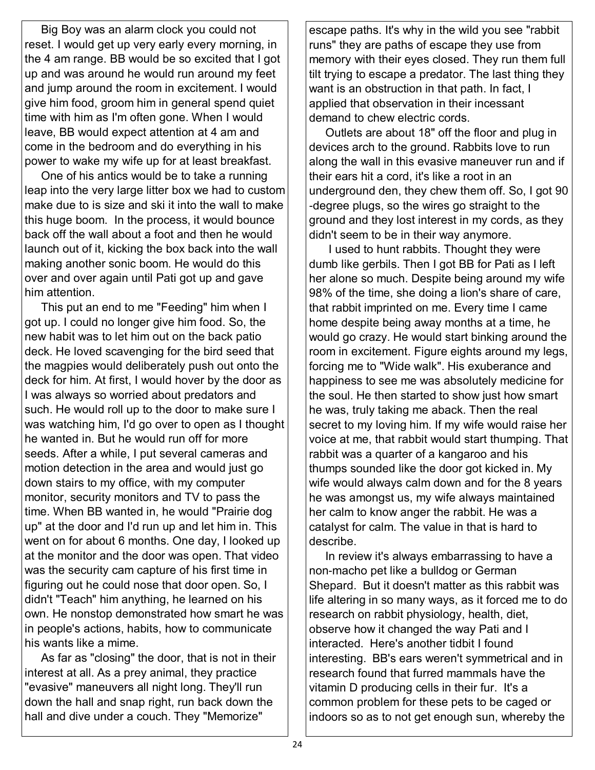Big Boy was an alarm clock you could not reset. I would get up very early every morning, in the 4 am range. BB would be so excited that I got up and was around he would run around my feet and jump around the room in excitement. I would give him food, groom him in general spend quiet time with him as I'm often gone. When I would leave, BB would expect attention at 4 am and come in the bedroom and do everything in his power to wake my wife up for at least breakfast.

 One of his antics would be to take a running leap into the very large litter box we had to custom make due to is size and ski it into the wall to make this huge boom. In the process, it would bounce back off the wall about a foot and then he would launch out of it, kicking the box back into the wall making another sonic boom. He would do this over and over again until Pati got up and gave him attention.

 This put an end to me "Feeding" him when I got up. I could no longer give him food. So, the new habit was to let him out on the back patio deck. He loved scavenging for the bird seed that the magpies would deliberately push out onto the deck for him. At first, I would hover by the door as I was always so worried about predators and such. He would roll up to the door to make sure I was watching him, I'd go over to open as I thought he wanted in. But he would run off for more seeds. After a while, I put several cameras and motion detection in the area and would just go down stairs to my office, with my computer monitor, security monitors and TV to pass the time. When BB wanted in, he would "Prairie dog up" at the door and I'd run up and let him in. This went on for about 6 months. One day, I looked up at the monitor and the door was open. That video was the security cam capture of his first time in figuring out he could nose that door open. So, I didn't "Teach" him anything, he learned on his own. He nonstop demonstrated how smart he was in people's actions, habits, how to communicate his wants like a mime.

 As far as "closing" the door, that is not in their interest at all. As a prey animal, they practice "evasive" maneuvers all night long. They'll run down the hall and snap right, run back down the hall and dive under a couch. They "Memorize"

escape paths. It's why in the wild you see "rabbit runs" they are paths of escape they use from memory with their eyes closed. They run them full tilt trying to escape a predator. The last thing they want is an obstruction in that path. In fact, I applied that observation in their incessant demand to chew electric cords.

 Outlets are about 18" off the floor and plug in devices arch to the ground. Rabbits love to run along the wall in this evasive maneuver run and if their ears hit a cord, it's like a root in an underground den, they chew them off. So, I got 90 -degree plugs, so the wires go straight to the ground and they lost interest in my cords, as they didn't seem to be in their way anymore.

 I used to hunt rabbits. Thought they were dumb like gerbils. Then I got BB for Pati as I left her alone so much. Despite being around my wife 98% of the time, she doing a lion's share of care, that rabbit imprinted on me. Every time I came home despite being away months at a time, he would go crazy. He would start binking around the room in excitement. Figure eights around my legs, forcing me to "Wide walk". His exuberance and happiness to see me was absolutely medicine for the soul. He then started to show just how smart he was, truly taking me aback. Then the real secret to my loving him. If my wife would raise her voice at me, that rabbit would start thumping. That rabbit was a quarter of a kangaroo and his thumps sounded like the door got kicked in. My wife would always calm down and for the 8 years he was amongst us, my wife always maintained her calm to know anger the rabbit. He was a catalyst for calm. The value in that is hard to describe.

 In review it's always embarrassing to have a non-macho pet like a bulldog or German Shepard. But it doesn't matter as this rabbit was life altering in so many ways, as it forced me to do research on rabbit physiology, health, diet, observe how it changed the way Pati and I interacted. Here's another tidbit I found interesting. BB's ears weren't symmetrical and in research found that furred mammals have the vitamin D producing cells in their fur. It's a common problem for these pets to be caged or indoors so as to not get enough sun, whereby the